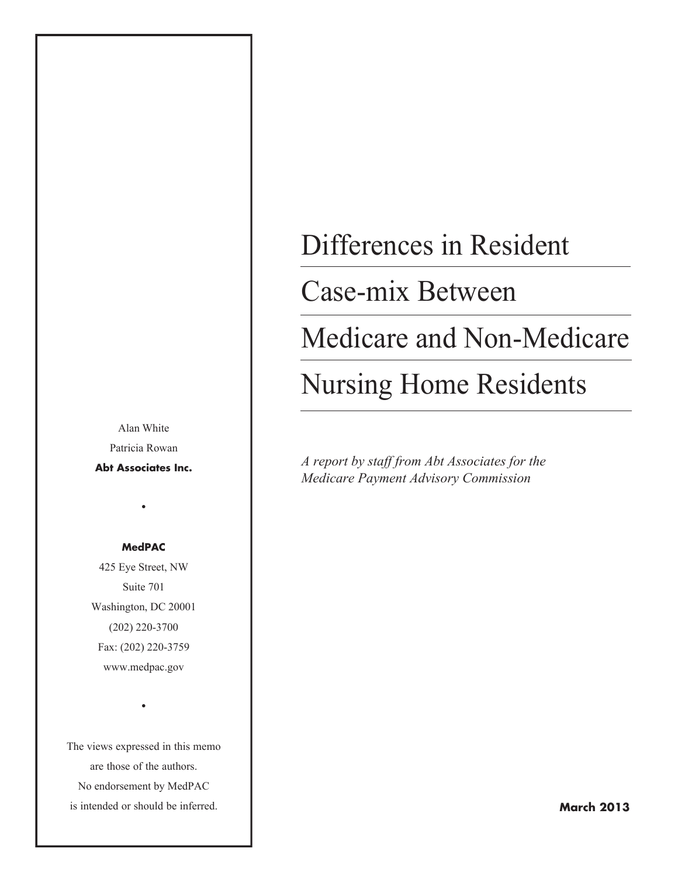Alan White Patricia Rowan

**Abt Associates Inc.**

•

#### **MedPAC**

425 Eye Street, NW Suite 701 Washington, DC 20001 (202) 220-3700 Fax: (202) 220-3759 www.medpac.gov

The views expressed in this memo are those of the authors. No endorsement by MedPAC is intended or should be inferred.

•

# Differences in Resident

## Case-mix Between

## Medicare and Non-Medicare

# Nursing Home Residents

*A report by staff from Abt Associates for the Medicare Payment Advisory Commission*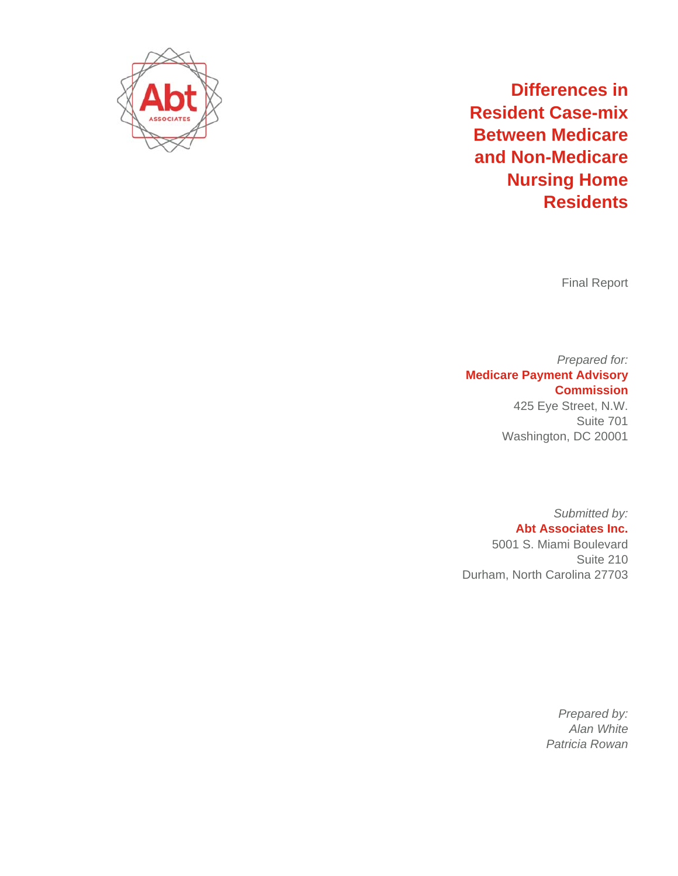

## **Resident Case-mix Between Medicare** and Non-Medicare **Differences in Nursing g Home Res sidents**

F inal Report

**Medicare Payment Advisory** W Washington, DC 20001 *Pr repared for:* **Co ommission** 425 Eye S treet, N.W. Suite 701

> 500 01 S. Miami Boulevard Submitted by: **Abt Assoc ciates Inc.**

Durham, North Carolina 27703 Suite 210

> *Pr repared by: A Alan White Patri icia Rowan*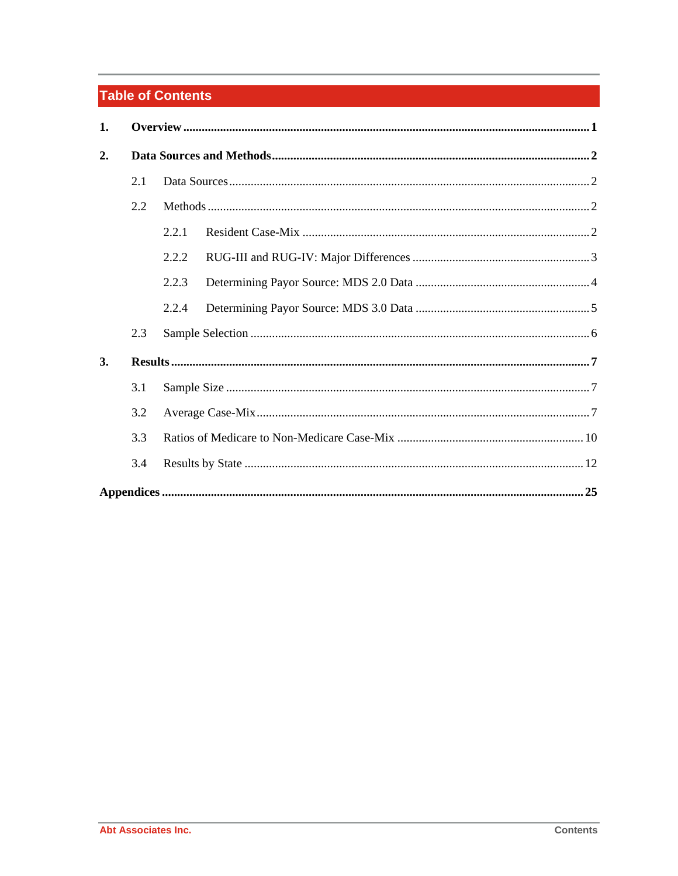## **Table of Contents**

| 1.        |     |       |  |  |  |  |  |  |  |  |
|-----------|-----|-------|--|--|--|--|--|--|--|--|
| 2.        |     |       |  |  |  |  |  |  |  |  |
|           | 2.1 |       |  |  |  |  |  |  |  |  |
|           | 2.2 |       |  |  |  |  |  |  |  |  |
|           |     | 2.2.1 |  |  |  |  |  |  |  |  |
|           |     | 2.2.2 |  |  |  |  |  |  |  |  |
|           |     | 2.2.3 |  |  |  |  |  |  |  |  |
|           |     | 2.2.4 |  |  |  |  |  |  |  |  |
|           | 2.3 |       |  |  |  |  |  |  |  |  |
| <b>3.</b> |     |       |  |  |  |  |  |  |  |  |
|           | 3.1 |       |  |  |  |  |  |  |  |  |
|           | 3.2 |       |  |  |  |  |  |  |  |  |
|           | 3.3 |       |  |  |  |  |  |  |  |  |
|           | 3.4 |       |  |  |  |  |  |  |  |  |
|           |     |       |  |  |  |  |  |  |  |  |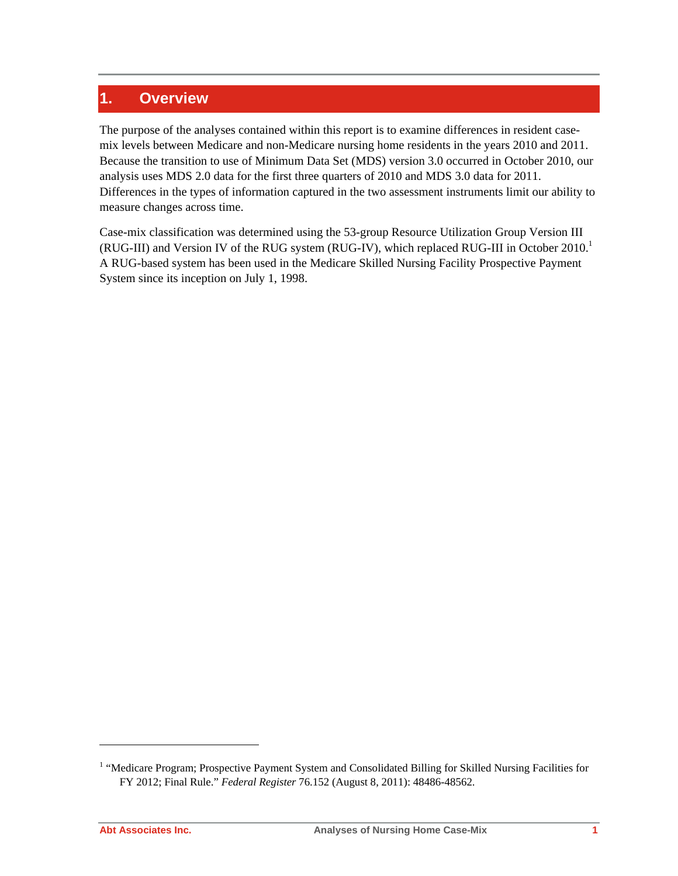### **1. Overview**

The purpose of the analyses contained within this report is to examine differences in resident casemix levels between Medicare and non-Medicare nursing home residents in the years 2010 and 2011. Because the transition to use of Minimum Data Set (MDS) version 3.0 occurred in October 2010, our analysis uses MDS 2.0 data for the first three quarters of 2010 and MDS 3.0 data for 2011. Differences in the types of information captured in the two assessment instruments limit our ability to measure changes across time.

Case-mix classification was determined using the 53-group Resource Utilization Group Version III (RUG-III) and Version IV of the RUG system (RUG-IV), which replaced RUG-III in October 2010.<sup>1</sup> A RUG-based system has been used in the Medicare Skilled Nursing Facility Prospective Payment System since its inception on July 1, 1998.

 $\overline{a}$ 

<sup>&</sup>lt;sup>1</sup> "Medicare Program; Prospective Payment System and Consolidated Billing for Skilled Nursing Facilities for FY 2012; Final Rule." *Federal Register* 76.152 (August 8, 2011): 48486-48562.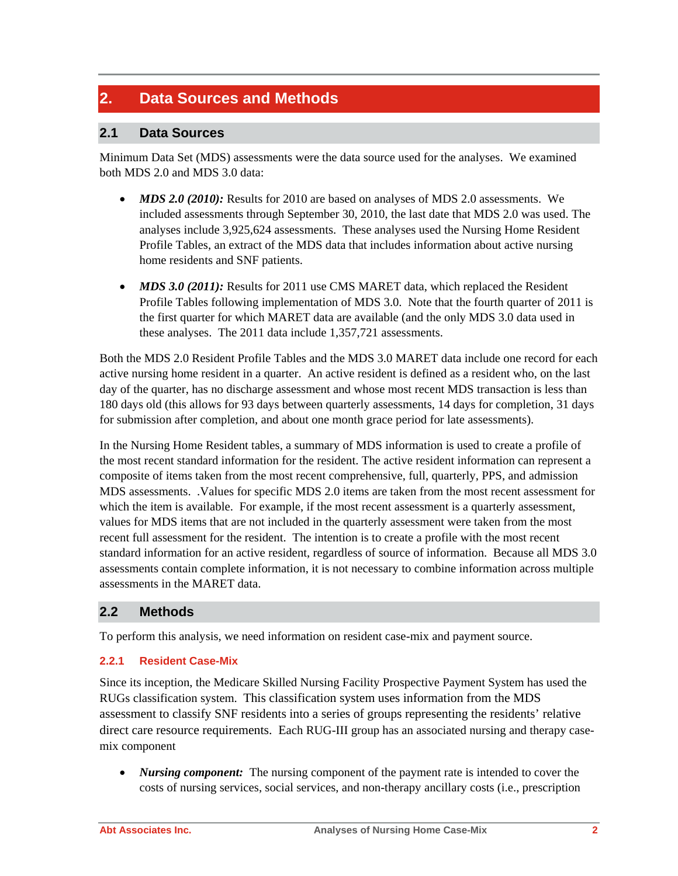### **2. Data Sources and Methods**

#### **2.1 Data Sources**

Minimum Data Set (MDS) assessments were the data source used for the analyses. We examined both MDS 2.0 and MDS 3.0 data:

- *MDS 2.0 (2010):* Results for 2010 are based on analyses of MDS 2.0 assessments. We included assessments through September 30, 2010, the last date that MDS 2.0 was used. The analyses include 3,925,624 assessments. These analyses used the Nursing Home Resident Profile Tables, an extract of the MDS data that includes information about active nursing home residents and SNF patients.
- *MDS 3.0 (2011):* Results for 2011 use CMS MARET data, which replaced the Resident Profile Tables following implementation of MDS 3.0. Note that the fourth quarter of 2011 is the first quarter for which MARET data are available (and the only MDS 3.0 data used in these analyses. The 2011 data include 1,357,721 assessments.

Both the MDS 2.0 Resident Profile Tables and the MDS 3.0 MARET data include one record for each active nursing home resident in a quarter. An active resident is defined as a resident who, on the last day of the quarter, has no discharge assessment and whose most recent MDS transaction is less than 180 days old (this allows for 93 days between quarterly assessments, 14 days for completion, 31 days for submission after completion, and about one month grace period for late assessments).

In the Nursing Home Resident tables, a summary of MDS information is used to create a profile of the most recent standard information for the resident. The active resident information can represent a composite of items taken from the most recent comprehensive, full, quarterly, PPS, and admission MDS assessments. .Values for specific MDS 2.0 items are taken from the most recent assessment for which the item is available. For example, if the most recent assessment is a quarterly assessment, values for MDS items that are not included in the quarterly assessment were taken from the most recent full assessment for the resident. The intention is to create a profile with the most recent standard information for an active resident, regardless of source of information. Because all MDS 3.0 assessments contain complete information, it is not necessary to combine information across multiple assessments in the MARET data.

#### **2.2 Methods**

To perform this analysis, we need information on resident case-mix and payment source.

#### **2.2.1 Resident Case-Mix**

Since its inception, the Medicare Skilled Nursing Facility Prospective Payment System has used the RUGs classification system. This classification system uses information from the MDS assessment to classify SNF residents into a series of groups representing the residents' relative direct care resource requirements. Each RUG-III group has an associated nursing and therapy casemix component

• *Nursing component:* The nursing component of the payment rate is intended to cover the costs of nursing services, social services, and non-therapy ancillary costs (i.e., prescription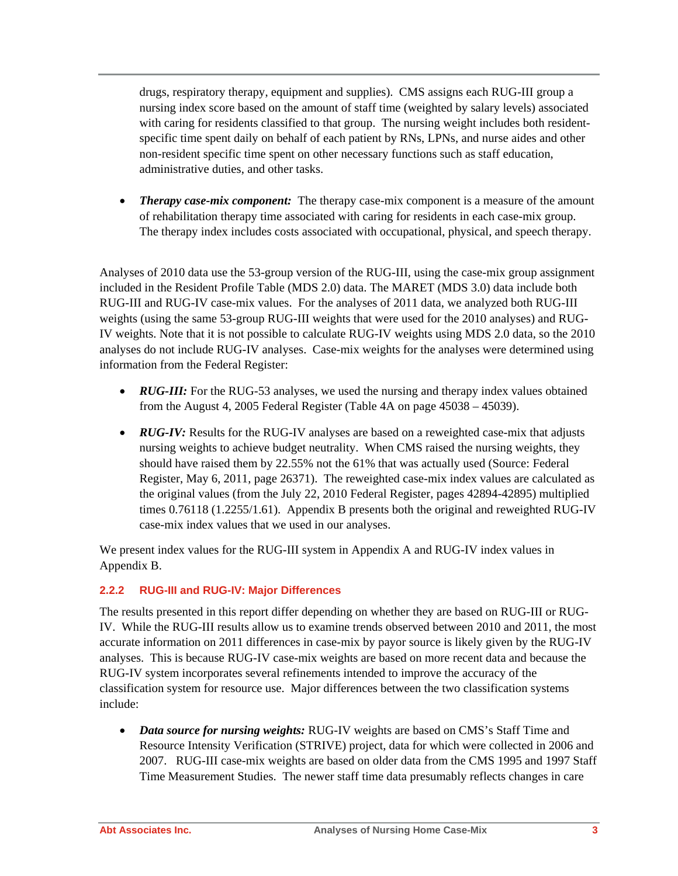drugs, respiratory therapy, equipment and supplies). CMS assigns each RUG-III group a nursing index score based on the amount of staff time (weighted by salary levels) associated with caring for residents classified to that group. The nursing weight includes both residentspecific time spent daily on behalf of each patient by RNs, LPNs, and nurse aides and other non-resident specific time spent on other necessary functions such as staff education, administrative duties, and other tasks.

• *Therapy case-mix component:* The therapy case-mix component is a measure of the amount of rehabilitation therapy time associated with caring for residents in each case-mix group. The therapy index includes costs associated with occupational, physical, and speech therapy.

Analyses of 2010 data use the 53-group version of the RUG-III, using the case-mix group assignment included in the Resident Profile Table (MDS 2.0) data. The MARET (MDS 3.0) data include both RUG-III and RUG-IV case-mix values. For the analyses of 2011 data, we analyzed both RUG-III weights (using the same 53-group RUG-III weights that were used for the 2010 analyses) and RUG-IV weights. Note that it is not possible to calculate RUG-IV weights using MDS 2.0 data, so the 2010 analyses do not include RUG-IV analyses. Case-mix weights for the analyses were determined using information from the Federal Register:

- *RUG-III:* For the RUG-53 analyses, we used the nursing and therapy index values obtained from the August 4, 2005 Federal Register (Table 4A on page 45038 – 45039).
- *RUG-IV:* Results for the RUG-IV analyses are based on a reweighted case-mix that adjusts nursing weights to achieve budget neutrality. When CMS raised the nursing weights, they should have raised them by 22.55% not the 61% that was actually used (Source: Federal Register, May 6, 2011, page 26371). The reweighted case-mix index values are calculated as the original values (from the July 22, 2010 Federal Register, pages 42894-42895) multiplied times 0.76118 (1.2255/1.61). Appendix B presents both the original and reweighted RUG-IV case-mix index values that we used in our analyses.

We present index values for the RUG-III system in Appendix A and RUG-IV index values in Appendix B.

#### **2.2.2 RUG-III and RUG-IV: Major Differences**

The results presented in this report differ depending on whether they are based on RUG-III or RUG-IV. While the RUG-III results allow us to examine trends observed between 2010 and 2011, the most accurate information on 2011 differences in case-mix by payor source is likely given by the RUG-IV analyses. This is because RUG-IV case-mix weights are based on more recent data and because the RUG-IV system incorporates several refinements intended to improve the accuracy of the classification system for resource use. Major differences between the two classification systems include:

• *Data source for nursing weights:* RUG-IV weights are based on CMS's Staff Time and Resource Intensity Verification (STRIVE) project, data for which were collected in 2006 and 2007. RUG-III case-mix weights are based on older data from the CMS 1995 and 1997 Staff Time Measurement Studies. The newer staff time data presumably reflects changes in care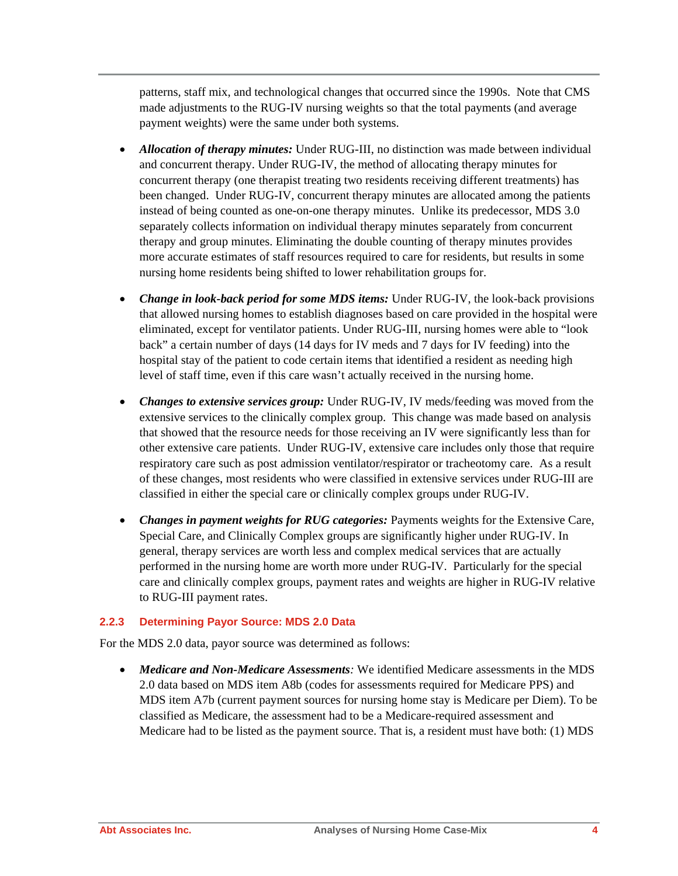patterns, staff mix, and technological changes that occurred since the 1990s. Note that CMS made adjustments to the RUG-IV nursing weights so that the total payments (and average payment weights) were the same under both systems.

- *Allocation of therapy minutes:* Under RUG-III, no distinction was made between individual and concurrent therapy. Under RUG-IV, the method of allocating therapy minutes for concurrent therapy (one therapist treating two residents receiving different treatments) has been changed. Under RUG-IV, concurrent therapy minutes are allocated among the patients instead of being counted as one-on-one therapy minutes. Unlike its predecessor, MDS 3.0 separately collects information on individual therapy minutes separately from concurrent therapy and group minutes. Eliminating the double counting of therapy minutes provides more accurate estimates of staff resources required to care for residents, but results in some nursing home residents being shifted to lower rehabilitation groups for.
- *Change in look-back period for some MDS items:* Under RUG-IV, the look-back provisions that allowed nursing homes to establish diagnoses based on care provided in the hospital were eliminated, except for ventilator patients. Under RUG-III, nursing homes were able to "look back" a certain number of days (14 days for IV meds and 7 days for IV feeding) into the hospital stay of the patient to code certain items that identified a resident as needing high level of staff time, even if this care wasn't actually received in the nursing home.
- *Changes to extensive services group:* Under RUG-IV, IV meds/feeding was moved from the extensive services to the clinically complex group. This change was made based on analysis that showed that the resource needs for those receiving an IV were significantly less than for other extensive care patients. Under RUG-IV, extensive care includes only those that require respiratory care such as post admission ventilator/respirator or tracheotomy care. As a result of these changes, most residents who were classified in extensive services under RUG-III are classified in either the special care or clinically complex groups under RUG-IV.
- *Changes in payment weights for RUG categories:* Payments weights for the Extensive Care, Special Care, and Clinically Complex groups are significantly higher under RUG-IV. In general, therapy services are worth less and complex medical services that are actually performed in the nursing home are worth more under RUG-IV. Particularly for the special care and clinically complex groups, payment rates and weights are higher in RUG-IV relative to RUG-III payment rates.

#### **2.2.3 Determining Payor Source: MDS 2.0 Data**

For the MDS 2.0 data, payor source was determined as follows:

• *Medicare and Non-Medicare Assessments:* We identified Medicare assessments in the MDS 2.0 data based on MDS item A8b (codes for assessments required for Medicare PPS) and MDS item A7b (current payment sources for nursing home stay is Medicare per Diem). To be classified as Medicare, the assessment had to be a Medicare-required assessment and Medicare had to be listed as the payment source. That is, a resident must have both: (1) MDS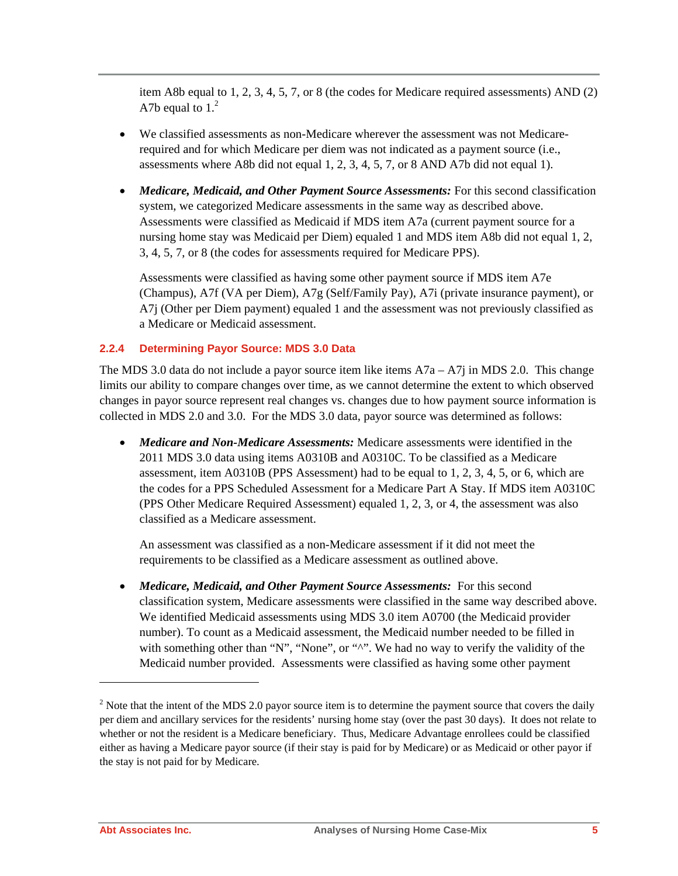item A8b equal to 1, 2, 3, 4, 5, 7, or 8 (the codes for Medicare required assessments) AND (2) A7b equal to  $1<sup>2</sup>$ 

- We classified assessments as non-Medicare wherever the assessment was not Medicarerequired and for which Medicare per diem was not indicated as a payment source (i.e., assessments where A8b did not equal 1, 2, 3, 4, 5, 7, or 8 AND A7b did not equal 1).
- *Medicare, Medicaid, and Other Payment Source Assessments:* For this second classification system, we categorized Medicare assessments in the same way as described above. Assessments were classified as Medicaid if MDS item A7a (current payment source for a nursing home stay was Medicaid per Diem) equaled 1 and MDS item A8b did not equal 1, 2, 3, 4, 5, 7, or 8 (the codes for assessments required for Medicare PPS).

Assessments were classified as having some other payment source if MDS item A7e (Champus), A7f (VA per Diem), A7g (Self/Family Pay), A7i (private insurance payment), or A7j (Other per Diem payment) equaled 1 and the assessment was not previously classified as a Medicare or Medicaid assessment.

#### **2.2.4 Determining Payor Source: MDS 3.0 Data**

The MDS 3.0 data do not include a payor source item like items  $A7a - A7i$  in MDS 2.0. This change limits our ability to compare changes over time, as we cannot determine the extent to which observed changes in payor source represent real changes vs. changes due to how payment source information is collected in MDS 2.0 and 3.0. For the MDS 3.0 data, payor source was determined as follows:

• *Medicare and Non-Medicare Assessments:* Medicare assessments were identified in the 2011 MDS 3.0 data using items A0310B and A0310C. To be classified as a Medicare assessment, item A0310B (PPS Assessment) had to be equal to 1, 2, 3, 4, 5, or 6, which are the codes for a PPS Scheduled Assessment for a Medicare Part A Stay. If MDS item A0310C (PPS Other Medicare Required Assessment) equaled 1, 2, 3, or 4, the assessment was also classified as a Medicare assessment.

An assessment was classified as a non-Medicare assessment if it did not meet the requirements to be classified as a Medicare assessment as outlined above.

• *Medicare, Medicaid, and Other Payment Source Assessments:* For this second classification system, Medicare assessments were classified in the same way described above. We identified Medicaid assessments using MDS 3.0 item A0700 (the Medicaid provider number). To count as a Medicaid assessment, the Medicaid number needed to be filled in with something other than "N", "None", or "^". We had no way to verify the validity of the Medicaid number provided. Assessments were classified as having some other payment

 $\overline{a}$ 

<sup>&</sup>lt;sup>2</sup> Note that the intent of the MDS 2.0 payor source item is to determine the payment source that covers the daily per diem and ancillary services for the residents' nursing home stay (over the past 30 days). It does not relate to whether or not the resident is a Medicare beneficiary. Thus, Medicare Advantage enrollees could be classified either as having a Medicare payor source (if their stay is paid for by Medicare) or as Medicaid or other payor if the stay is not paid for by Medicare.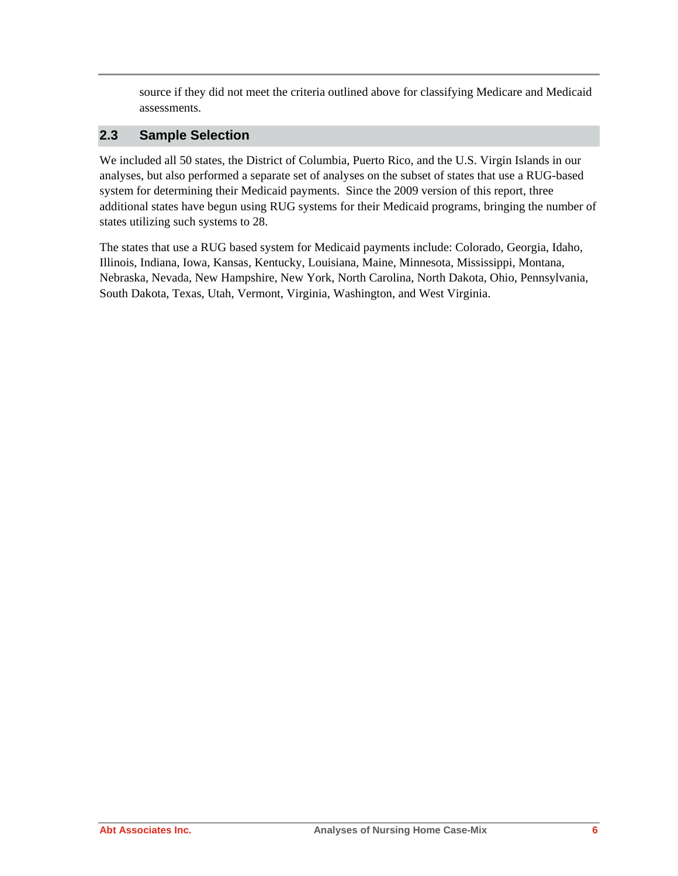source if they did not meet the criteria outlined above for classifying Medicare and Medicaid assessments.

#### **2.3 Sample Selection**

We included all 50 states, the District of Columbia, Puerto Rico, and the U.S. Virgin Islands in our analyses, but also performed a separate set of analyses on the subset of states that use a RUG-based system for determining their Medicaid payments. Since the 2009 version of this report, three additional states have begun using RUG systems for their Medicaid programs, bringing the number of states utilizing such systems to 28.

The states that use a RUG based system for Medicaid payments include: Colorado, Georgia, Idaho, Illinois, Indiana, Iowa, Kansas, Kentucky, Louisiana, Maine, Minnesota, Mississippi, Montana, Nebraska, Nevada, New Hampshire, New York, North Carolina, North Dakota, Ohio, Pennsylvania, South Dakota, Texas, Utah, Vermont, Virginia, Washington, and West Virginia.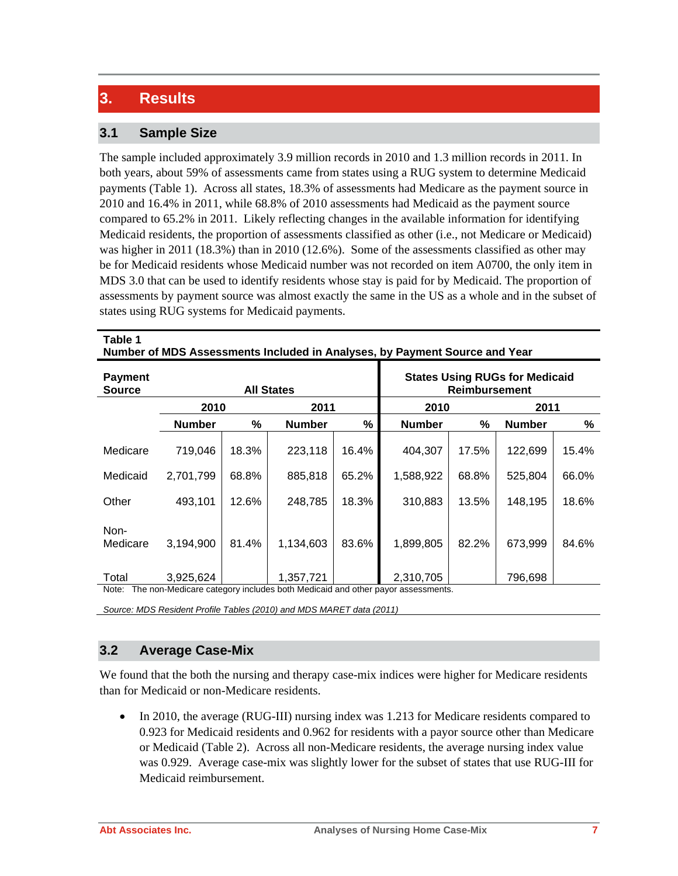### **3. Results**

#### **3.1 Sample Size**

The sample included approximately 3.9 million records in 2010 and 1.3 million records in 2011. In both years, about 59% of assessments came from states using a RUG system to determine Medicaid payments (Table 1). Across all states, 18.3% of assessments had Medicare as the payment source in 2010 and 16.4% in 2011, while 68.8% of 2010 assessments had Medicaid as the payment source compared to 65.2% in 2011. Likely reflecting changes in the available information for identifying Medicaid residents, the proportion of assessments classified as other (i.e., not Medicare or Medicaid) was higher in 2011 (18.3%) than in 2010 (12.6%). Some of the assessments classified as other may be for Medicaid residents whose Medicaid number was not recorded on item A0700, the only item in MDS 3.0 that can be used to identify residents whose stay is paid for by Medicaid. The proportion of assessments by payment source was almost exactly the same in the US as a whole and in the subset of states using RUG systems for Medicaid payments.

| Table 1<br>Number of MDS Assessments Included in Analyses, by Payment Source and Year |               |       |                   |       |                                                               |       |               |       |  |  |
|---------------------------------------------------------------------------------------|---------------|-------|-------------------|-------|---------------------------------------------------------------|-------|---------------|-------|--|--|
| <b>Payment</b><br><b>Source</b>                                                       |               |       | <b>All States</b> |       | <b>States Using RUGs for Medicaid</b><br><b>Reimbursement</b> |       |               |       |  |  |
|                                                                                       | 2010          |       | 2011              |       | 2010                                                          |       | 2011          |       |  |  |
|                                                                                       | <b>Number</b> | %     | <b>Number</b>     | %     | <b>Number</b>                                                 | %     | <b>Number</b> | ℅     |  |  |
| Medicare                                                                              | 719,046       | 18.3% | 223,118           | 16.4% | 404,307                                                       | 17.5% | 122,699       | 15.4% |  |  |
| Medicaid                                                                              | 2,701,799     | 68.8% | 885,818           | 65.2% | 1,588,922                                                     | 68.8% | 525,804       | 66.0% |  |  |
| Other                                                                                 | 493,101       | 12.6% | 248,785           | 18.3% | 310,883                                                       | 13.5% | 148,195       | 18.6% |  |  |
| Non-<br>Medicare                                                                      | 3,194,900     | 81.4% | 1,134,603         | 83.6% | 1,899,805                                                     | 82.2% | 673,999       | 84.6% |  |  |
| Total                                                                                 | 3,925,624     |       | 1,357,721         |       | 2,310,705                                                     |       | 796,698       |       |  |  |
| The non-Medicare category includes both Medicaid and other nayor assessments<br>Note: |               |       |                   |       |                                                               |       |               |       |  |  |

on-Medicare category includes both Medicaid and other pay

*Source: MDS Resident Profile Tables (2010) and MDS MARET data (2011)*

#### **3.2 Average Case-Mix**

We found that the both the nursing and therapy case-mix indices were higher for Medicare residents than for Medicaid or non-Medicare residents.

• In 2010, the average (RUG-III) nursing index was 1.213 for Medicare residents compared to 0.923 for Medicaid residents and 0.962 for residents with a payor source other than Medicare or Medicaid (Table 2). Across all non-Medicare residents, the average nursing index value was 0.929. Average case-mix was slightly lower for the subset of states that use RUG-III for Medicaid reimbursement.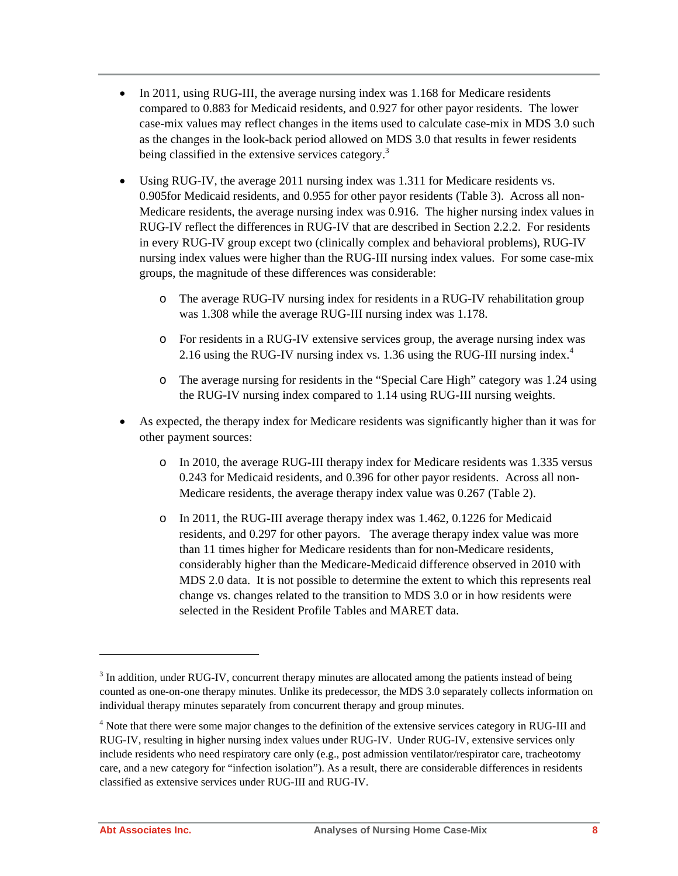- In 2011, using RUG-III, the average nursing index was 1.168 for Medicare residents compared to 0.883 for Medicaid residents, and 0.927 for other payor residents. The lower case-mix values may reflect changes in the items used to calculate case-mix in MDS 3.0 such as the changes in the look-back period allowed on MDS 3.0 that results in fewer residents being classified in the extensive services category.<sup>3</sup>
- Using RUG-IV, the average 2011 nursing index was 1.311 for Medicare residents vs. 0.905for Medicaid residents, and 0.955 for other payor residents (Table 3). Across all non-Medicare residents, the average nursing index was 0.916. The higher nursing index values in RUG-IV reflect the differences in RUG-IV that are described in Section 2.2.2. For residents in every RUG-IV group except two (clinically complex and behavioral problems), RUG-IV nursing index values were higher than the RUG-III nursing index values. For some case-mix groups, the magnitude of these differences was considerable:
	- o The average RUG-IV nursing index for residents in a RUG-IV rehabilitation group was 1.308 while the average RUG-III nursing index was 1.178.
	- o For residents in a RUG-IV extensive services group, the average nursing index was 2.16 using the RUG-IV nursing index vs. 1.36 using the RUG-III nursing index. $4$
	- o The average nursing for residents in the "Special Care High" category was 1.24 using the RUG-IV nursing index compared to 1.14 using RUG-III nursing weights.
- As expected, the therapy index for Medicare residents was significantly higher than it was for other payment sources:
	- o In 2010, the average RUG-III therapy index for Medicare residents was 1.335 versus 0.243 for Medicaid residents, and 0.396 for other payor residents. Across all non-Medicare residents, the average therapy index value was 0.267 (Table 2).
	- o In 2011, the RUG-III average therapy index was 1.462, 0.1226 for Medicaid residents, and 0.297 for other payors. The average therapy index value was more than 11 times higher for Medicare residents than for non-Medicare residents, considerably higher than the Medicare-Medicaid difference observed in 2010 with MDS 2.0 data. It is not possible to determine the extent to which this represents real change vs. changes related to the transition to MDS 3.0 or in how residents were selected in the Resident Profile Tables and MARET data.

l

 $3$  In addition, under RUG-IV, concurrent therapy minutes are allocated among the patients instead of being counted as one-on-one therapy minutes. Unlike its predecessor, the MDS 3.0 separately collects information on individual therapy minutes separately from concurrent therapy and group minutes.

<sup>&</sup>lt;sup>4</sup> Note that there were some major changes to the definition of the extensive services category in RUG-III and RUG-IV, resulting in higher nursing index values under RUG-IV. Under RUG-IV, extensive services only include residents who need respiratory care only (e.g., post admission ventilator/respirator care, tracheotomy care, and a new category for "infection isolation"). As a result, there are considerable differences in residents classified as extensive services under RUG-III and RUG-IV.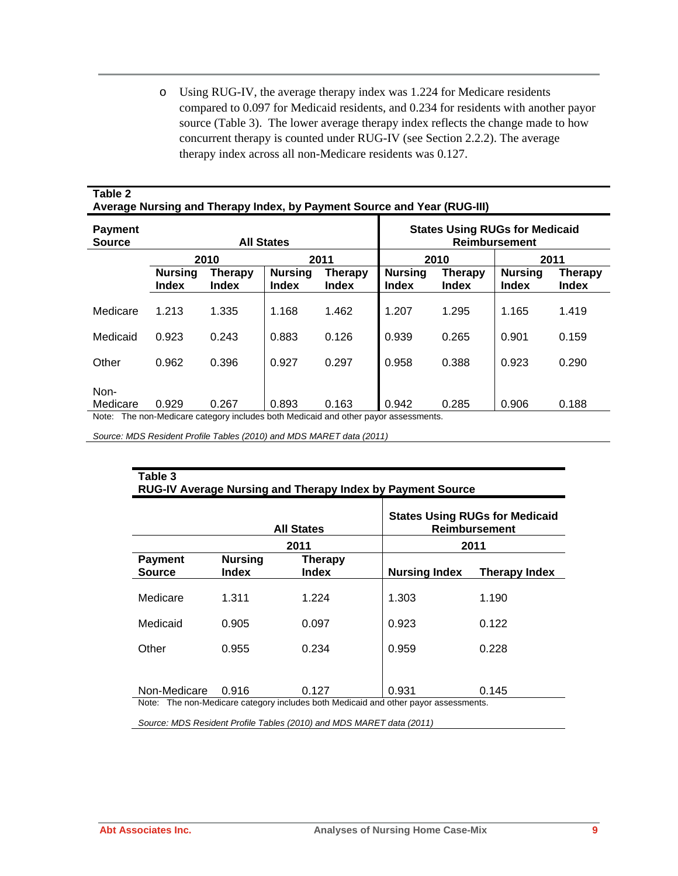o Using RUG-IV, the average therapy index was 1.224 for Medicare residents compared to 0.097 for Medicaid residents, and 0.234 for residents with another payor source (Table 3). The lower average therapy index reflects the change made to how concurrent therapy is counted under RUG-IV (see Section 2.2.2). The average therapy index across all non-Medicare residents was 0.127.

#### **Table 2 Average Nursing and Therapy Index, by Payment Source and Year (RUG-III)**

| <b>Payment</b><br><b>Source</b> |                                                           |       | <b>All States</b>              |                                                                                     | <b>States Using RUGs for Medicaid</b><br><b>Reimbursement</b> |       |                                |                                |  |  |
|---------------------------------|-----------------------------------------------------------|-------|--------------------------------|-------------------------------------------------------------------------------------|---------------------------------------------------------------|-------|--------------------------------|--------------------------------|--|--|
|                                 |                                                           | 2010  | 2011                           |                                                                                     |                                                               | 2010  | 2011                           |                                |  |  |
|                                 | <b>Nursing</b><br>Therapy<br><b>Index</b><br><b>Index</b> |       | <b>Nursing</b><br><b>Index</b> | <b>Therapy</b><br><b>Index</b>                                                      | <b>Nursing</b><br>Therapy<br><b>Index</b><br><b>Index</b>     |       | <b>Nursing</b><br><b>Index</b> | <b>Therapy</b><br><b>Index</b> |  |  |
| Medicare                        | 1.213                                                     | 1.335 | 1.168                          | 1.462                                                                               | 1.207                                                         | 1.295 | 1.165                          | 1.419                          |  |  |
| Medicaid                        | 0.923                                                     | 0.243 | 0.883                          | 0.126                                                                               | 0.939                                                         | 0.265 | 0.901                          | 0.159                          |  |  |
| Other                           | 0.962                                                     | 0.396 | 0.927                          | 0.297                                                                               | 0.958                                                         | 0.388 | 0.923                          | 0.290                          |  |  |
| Non-<br>Medicare                | 0.929                                                     | 0.267 | 0.893                          | 0.163                                                                               | 0.942                                                         | 0.285 | 0.906                          | 0.188                          |  |  |
|                                 |                                                           |       |                                | Note: The non-Medicare category includes both Medicaid and other payor assessments. |                                                               |       |                                |                                |  |  |

*Source: MDS Resident Profile Tables (2010) and MDS MARET data (2011)*

| Table 3<br><b>RUG-IV Average Nursing and Therapy Index by Payment Source</b> |                                                                                     |                                |                                                               |                      |  |  |  |  |  |  |
|------------------------------------------------------------------------------|-------------------------------------------------------------------------------------|--------------------------------|---------------------------------------------------------------|----------------------|--|--|--|--|--|--|
|                                                                              | <b>All States</b>                                                                   |                                | <b>States Using RUGs for Medicaid</b><br><b>Reimbursement</b> |                      |  |  |  |  |  |  |
|                                                                              |                                                                                     | 2011                           |                                                               | 2011                 |  |  |  |  |  |  |
| <b>Payment</b><br><b>Source</b>                                              | <b>Nursing</b><br><b>Index</b>                                                      | <b>Therapy</b><br><b>Index</b> | <b>Nursing Index</b>                                          | <b>Therapy Index</b> |  |  |  |  |  |  |
| Medicare                                                                     | 1.311                                                                               | 1.224                          | 1.303                                                         | 1.190                |  |  |  |  |  |  |
| Medicaid                                                                     | 0.905                                                                               | 0.097                          | 0.923                                                         | 0.122                |  |  |  |  |  |  |
| Other                                                                        | 0.955                                                                               | 0.234                          | 0.959                                                         | 0.228                |  |  |  |  |  |  |
|                                                                              |                                                                                     |                                |                                                               |                      |  |  |  |  |  |  |
| Non-Medicare                                                                 | 0.916                                                                               | 0.127                          | 0.931                                                         | 0.145                |  |  |  |  |  |  |
|                                                                              | Note: The non-Medicare category includes both Medicaid and other payor assessments. |                                |                                                               |                      |  |  |  |  |  |  |

*Source: MDS Resident Profile Tables (2010) and MDS MARET data (2011)*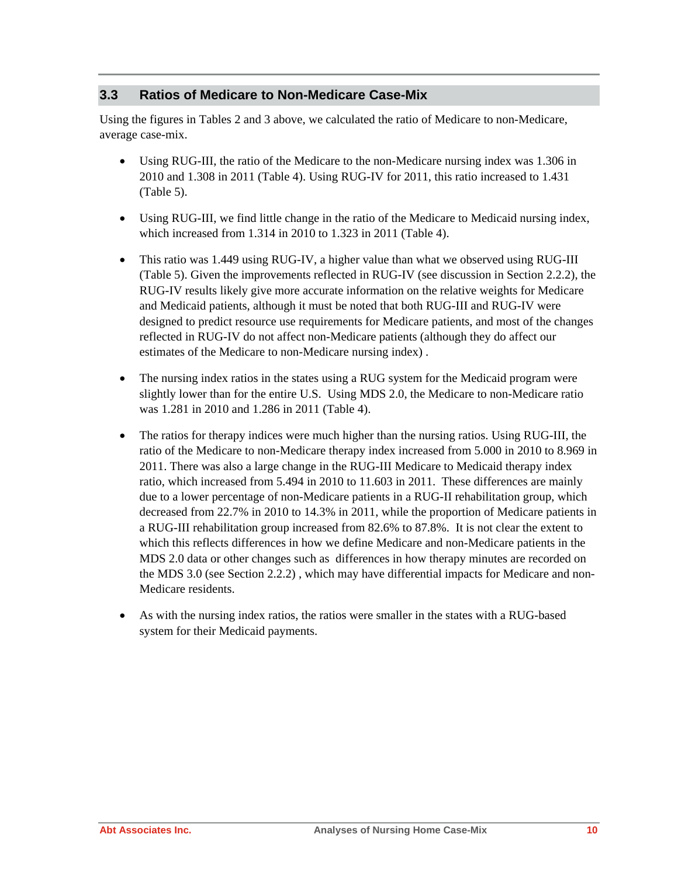#### **3.3 Ratios of Medicare to Non-Medicare Case-Mix**

Using the figures in Tables 2 and 3 above, we calculated the ratio of Medicare to non-Medicare, average case-mix.

- Using RUG-III, the ratio of the Medicare to the non-Medicare nursing index was 1.306 in 2010 and 1.308 in 2011 (Table 4). Using RUG-IV for 2011, this ratio increased to 1.431 (Table 5).
- Using RUG-III, we find little change in the ratio of the Medicare to Medicaid nursing index, which increased from 1.314 in 2010 to 1.323 in 2011 (Table 4).
- This ratio was 1.449 using RUG-IV, a higher value than what we observed using RUG-III (Table 5). Given the improvements reflected in RUG-IV (see discussion in Section 2.2.2), the RUG-IV results likely give more accurate information on the relative weights for Medicare and Medicaid patients, although it must be noted that both RUG-III and RUG-IV were designed to predict resource use requirements for Medicare patients, and most of the changes reflected in RUG-IV do not affect non-Medicare patients (although they do affect our estimates of the Medicare to non-Medicare nursing index) .
- The nursing index ratios in the states using a RUG system for the Medicaid program were slightly lower than for the entire U.S. Using MDS 2.0, the Medicare to non-Medicare ratio was 1.281 in 2010 and 1.286 in 2011 (Table 4).
- The ratios for therapy indices were much higher than the nursing ratios. Using RUG-III, the ratio of the Medicare to non-Medicare therapy index increased from 5.000 in 2010 to 8.969 in 2011. There was also a large change in the RUG-III Medicare to Medicaid therapy index ratio, which increased from 5.494 in 2010 to 11.603 in 2011. These differences are mainly due to a lower percentage of non-Medicare patients in a RUG-II rehabilitation group, which decreased from 22.7% in 2010 to 14.3% in 2011, while the proportion of Medicare patients in a RUG-III rehabilitation group increased from 82.6% to 87.8%. It is not clear the extent to which this reflects differences in how we define Medicare and non-Medicare patients in the MDS 2.0 data or other changes such as differences in how therapy minutes are recorded on the MDS 3.0 (see Section 2.2.2) , which may have differential impacts for Medicare and non-Medicare residents.
- As with the nursing index ratios, the ratios were smaller in the states with a RUG-based system for their Medicaid payments.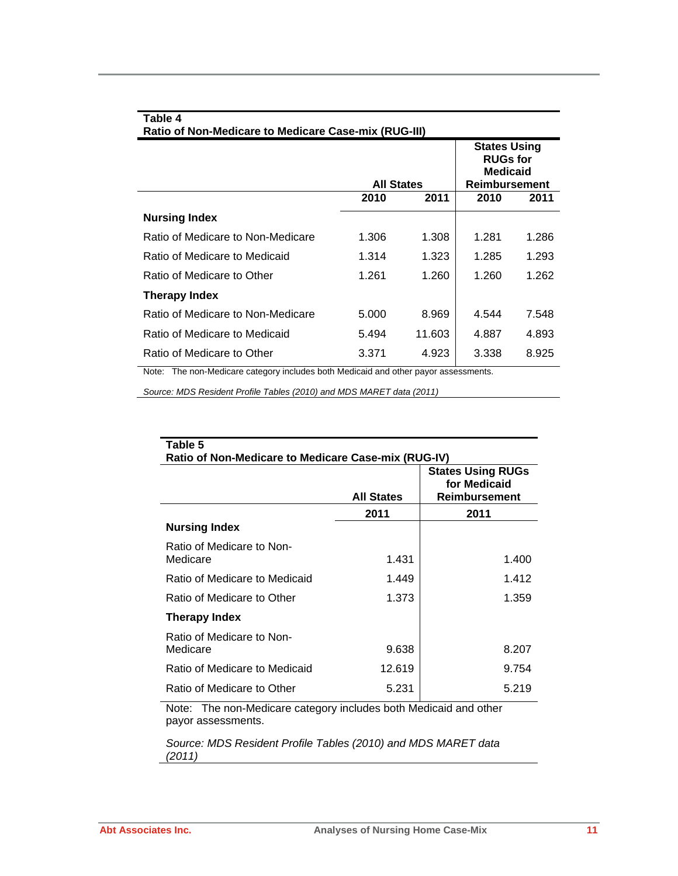| Table 4<br>Ratio of Non-Medicare to Medicare Case-mix (RUG-III) |                   |        |                                                                                   |       |  |  |  |  |
|-----------------------------------------------------------------|-------------------|--------|-----------------------------------------------------------------------------------|-------|--|--|--|--|
|                                                                 | <b>All States</b> |        | <b>States Using</b><br><b>RUGs for</b><br><b>Medicaid</b><br><b>Reimbursement</b> |       |  |  |  |  |
|                                                                 | 2010              | 2011   | 2010                                                                              | 2011  |  |  |  |  |
| <b>Nursing Index</b>                                            |                   |        |                                                                                   |       |  |  |  |  |
| Ratio of Medicare to Non-Medicare                               | 1.306             | 1.308  | 1.281                                                                             | 1.286 |  |  |  |  |
| Ratio of Medicare to Medicaid                                   | 1.314             | 1.323  | 1.285                                                                             | 1.293 |  |  |  |  |
| Ratio of Medicare to Other                                      | 1.261             | 1.260  | 1.260                                                                             | 1.262 |  |  |  |  |
| Therapy Index                                                   |                   |        |                                                                                   |       |  |  |  |  |
| Ratio of Medicare to Non-Medicare                               | 5.000             | 8.969  | 4.544                                                                             | 7.548 |  |  |  |  |
| Ratio of Medicare to Medicaid                                   | 5.494             | 11.603 | 4.887                                                                             | 4.893 |  |  |  |  |
| Ratio of Medicare to Other<br>$\cdots$                          | 3.371             | 4.923  | 3.338                                                                             | 8.925 |  |  |  |  |

Note: The non-Medicare category includes both Medicaid and other payor assessments.

*Source: MDS Resident Profile Tables (2010) and MDS MARET data (2011)*

| Table 5                                             |                   |                                                           |
|-----------------------------------------------------|-------------------|-----------------------------------------------------------|
| Ratio of Non-Medicare to Medicare Case-mix (RUG-IV) |                   |                                                           |
|                                                     | <b>All States</b> | <b>States Using RUGs</b><br>for Medicaid<br>Reimbursement |
|                                                     | 2011              | 2011                                                      |
| <b>Nursing Index</b>                                |                   |                                                           |
| Ratio of Medicare to Non-<br>Medicare               | 1.431             | 1.400                                                     |
| Ratio of Medicare to Medicaid                       | 1.449             | 1.412                                                     |
| Ratio of Medicare to Other                          | 1.373             | 1.359                                                     |
| Therapy Index                                       |                   |                                                           |
| Ratio of Medicare to Non-<br>Medicare               | 9.638             | 8.207                                                     |
| Ratio of Medicare to Medicaid                       | 12.619            | 9.754                                                     |
| Ratio of Medicare to Other                          | 5.231             | 5.219                                                     |
|                                                     |                   |                                                           |

Note: The non-Medicare category includes both Medicaid and other payor assessments.

*Source: MDS Resident Profile Tables (2010) and MDS MARET data (2011)*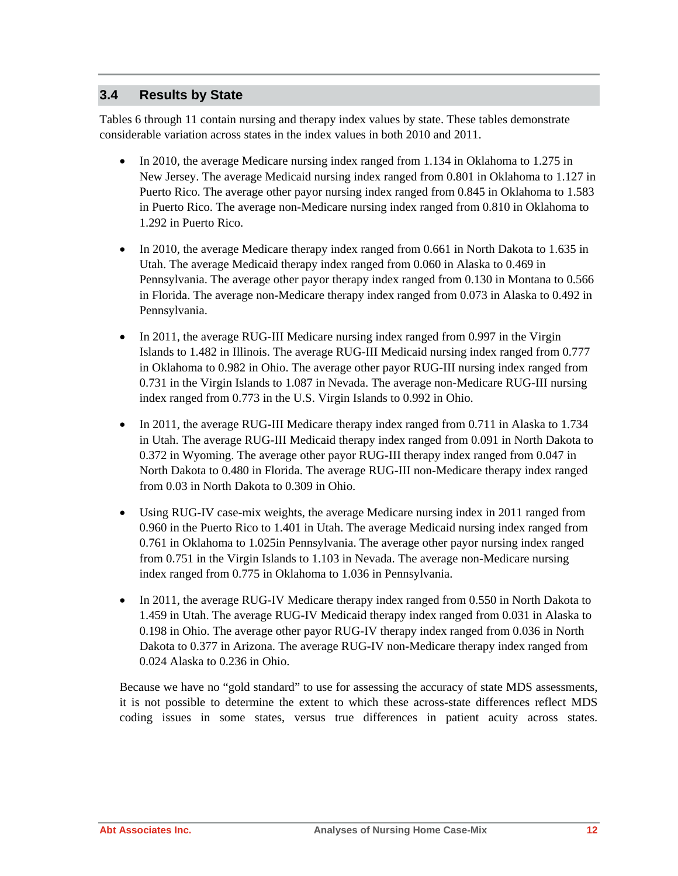#### **3.4 Results by State**

Tables 6 through 11 contain nursing and therapy index values by state. These tables demonstrate considerable variation across states in the index values in both 2010 and 2011.

- In 2010, the average Medicare nursing index ranged from 1.134 in Oklahoma to 1.275 in New Jersey. The average Medicaid nursing index ranged from 0.801 in Oklahoma to 1.127 in Puerto Rico. The average other payor nursing index ranged from 0.845 in Oklahoma to 1.583 in Puerto Rico. The average non-Medicare nursing index ranged from 0.810 in Oklahoma to 1.292 in Puerto Rico.
- In 2010, the average Medicare therapy index ranged from 0.661 in North Dakota to 1.635 in Utah. The average Medicaid therapy index ranged from 0.060 in Alaska to 0.469 in Pennsylvania. The average other payor therapy index ranged from 0.130 in Montana to 0.566 in Florida. The average non-Medicare therapy index ranged from 0.073 in Alaska to 0.492 in Pennsylvania.
- In 2011, the average RUG-III Medicare nursing index ranged from 0.997 in the Virgin Islands to 1.482 in Illinois. The average RUG-III Medicaid nursing index ranged from 0.777 in Oklahoma to 0.982 in Ohio. The average other payor RUG-III nursing index ranged from 0.731 in the Virgin Islands to 1.087 in Nevada. The average non-Medicare RUG-III nursing index ranged from 0.773 in the U.S. Virgin Islands to 0.992 in Ohio.
- In 2011, the average RUG-III Medicare therapy index ranged from 0.711 in Alaska to 1.734 in Utah. The average RUG-III Medicaid therapy index ranged from 0.091 in North Dakota to 0.372 in Wyoming. The average other payor RUG-III therapy index ranged from 0.047 in North Dakota to 0.480 in Florida. The average RUG-III non-Medicare therapy index ranged from 0.03 in North Dakota to 0.309 in Ohio.
- Using RUG-IV case-mix weights, the average Medicare nursing index in 2011 ranged from 0.960 in the Puerto Rico to 1.401 in Utah. The average Medicaid nursing index ranged from 0.761 in Oklahoma to 1.025in Pennsylvania. The average other payor nursing index ranged from 0.751 in the Virgin Islands to 1.103 in Nevada. The average non-Medicare nursing index ranged from 0.775 in Oklahoma to 1.036 in Pennsylvania.
- In 2011, the average RUG-IV Medicare therapy index ranged from 0.550 in North Dakota to 1.459 in Utah. The average RUG-IV Medicaid therapy index ranged from 0.031 in Alaska to 0.198 in Ohio. The average other payor RUG-IV therapy index ranged from 0.036 in North Dakota to 0.377 in Arizona. The average RUG-IV non-Medicare therapy index ranged from 0.024 Alaska to 0.236 in Ohio.

Because we have no "gold standard" to use for assessing the accuracy of state MDS assessments, it is not possible to determine the extent to which these across-state differences reflect MDS coding issues in some states, versus true differences in patient acuity across states.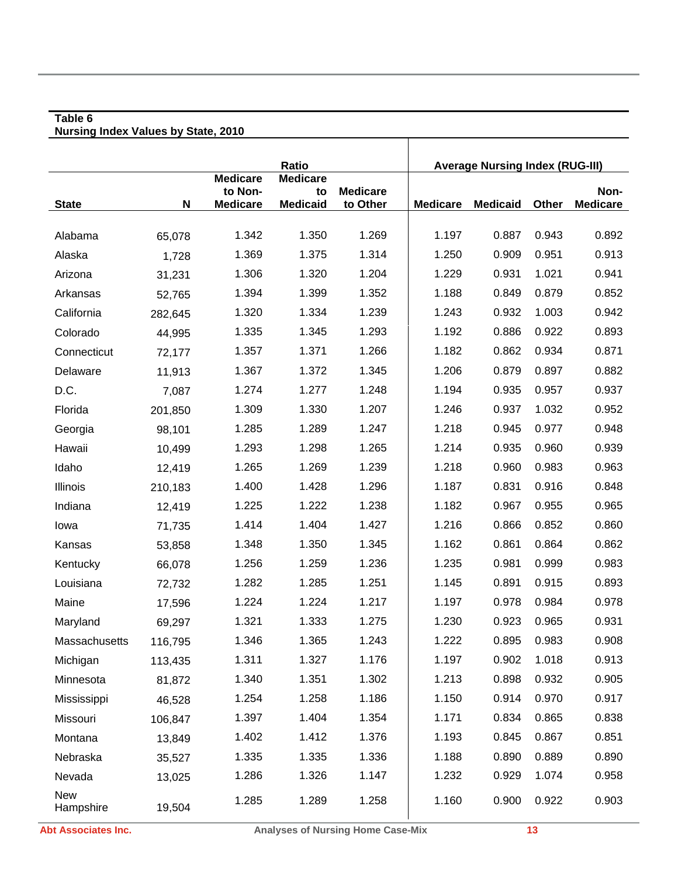#### **Table 6 Nursing Index Values by State, 2010**

|                         |         |                            | <b>Ratio</b>          |                 |                 | <b>Average Nursing Index (RUG-III)</b> |       |                 |
|-------------------------|---------|----------------------------|-----------------------|-----------------|-----------------|----------------------------------------|-------|-----------------|
|                         |         | <b>Medicare</b><br>to Non- | <b>Medicare</b><br>to | <b>Medicare</b> |                 |                                        |       | Non-            |
| <b>State</b>            | N       | <b>Medicare</b>            | <b>Medicaid</b>       | to Other        | <b>Medicare</b> | <b>Medicaid</b>                        | Other | <b>Medicare</b> |
|                         |         |                            |                       |                 |                 |                                        |       |                 |
| Alabama                 | 65,078  | 1.342                      | 1.350                 | 1.269           | 1.197           | 0.887                                  | 0.943 | 0.892           |
| Alaska                  | 1,728   | 1.369                      | 1.375                 | 1.314           | 1.250           | 0.909                                  | 0.951 | 0.913           |
| Arizona                 | 31,231  | 1.306                      | 1.320                 | 1.204           | 1.229           | 0.931                                  | 1.021 | 0.941           |
| Arkansas                | 52,765  | 1.394                      | 1.399                 | 1.352           | 1.188           | 0.849                                  | 0.879 | 0.852           |
| California              | 282,645 | 1.320                      | 1.334                 | 1.239           | 1.243           | 0.932                                  | 1.003 | 0.942           |
| Colorado                | 44,995  | 1.335                      | 1.345                 | 1.293           | 1.192           | 0.886                                  | 0.922 | 0.893           |
| Connecticut             | 72,177  | 1.357                      | 1.371                 | 1.266           | 1.182           | 0.862                                  | 0.934 | 0.871           |
| Delaware                | 11,913  | 1.367                      | 1.372                 | 1.345           | 1.206           | 0.879                                  | 0.897 | 0.882           |
| D.C.                    | 7,087   | 1.274                      | 1.277                 | 1.248           | 1.194           | 0.935                                  | 0.957 | 0.937           |
| Florida                 | 201,850 | 1.309                      | 1.330                 | 1.207           | 1.246           | 0.937                                  | 1.032 | 0.952           |
| Georgia                 | 98,101  | 1.285                      | 1.289                 | 1.247           | 1.218           | 0.945                                  | 0.977 | 0.948           |
| Hawaii                  | 10,499  | 1.293                      | 1.298                 | 1.265           | 1.214           | 0.935                                  | 0.960 | 0.939           |
| Idaho                   | 12,419  | 1.265                      | 1.269                 | 1.239           | 1.218           | 0.960                                  | 0.983 | 0.963           |
| Illinois                | 210,183 | 1.400                      | 1.428                 | 1.296           | 1.187           | 0.831                                  | 0.916 | 0.848           |
| Indiana                 | 12,419  | 1.225                      | 1.222                 | 1.238           | 1.182           | 0.967                                  | 0.955 | 0.965           |
| lowa                    | 71,735  | 1.414                      | 1.404                 | 1.427           | 1.216           | 0.866                                  | 0.852 | 0.860           |
| Kansas                  | 53,858  | 1.348                      | 1.350                 | 1.345           | 1.162           | 0.861                                  | 0.864 | 0.862           |
| Kentucky                | 66,078  | 1.256                      | 1.259                 | 1.236           | 1.235           | 0.981                                  | 0.999 | 0.983           |
| Louisiana               | 72,732  | 1.282                      | 1.285                 | 1.251           | 1.145           | 0.891                                  | 0.915 | 0.893           |
| Maine                   | 17,596  | 1.224                      | 1.224                 | 1.217           | 1.197           | 0.978                                  | 0.984 | 0.978           |
| Maryland                | 69,297  | 1.321                      | 1.333                 | 1.275           | 1.230           | 0.923                                  | 0.965 | 0.931           |
| Massachusetts           | 116,795 | 1.346                      | 1.365                 | 1.243           | 1.222           | 0.895                                  | 0.983 | 0.908           |
| Michigan                | 113,435 | 1.311                      | 1.327                 | 1.176           | 1.197           | 0.902                                  | 1.018 | 0.913           |
| Minnesota               | 81,872  | 1.340                      | 1.351                 | 1.302           | 1.213           | 0.898                                  | 0.932 | 0.905           |
| Mississippi             | 46,528  | 1.254                      | 1.258                 | 1.186           | 1.150           | 0.914                                  | 0.970 | 0.917           |
| Missouri                | 106,847 | 1.397                      | 1.404                 | 1.354           | 1.171           | 0.834                                  | 0.865 | 0.838           |
| Montana                 | 13,849  | 1.402                      | 1.412                 | 1.376           | 1.193           | 0.845                                  | 0.867 | 0.851           |
| Nebraska                | 35,527  | 1.335                      | 1.335                 | 1.336           | 1.188           | 0.890                                  | 0.889 | 0.890           |
| Nevada                  | 13,025  | 1.286                      | 1.326                 | 1.147           | 1.232           | 0.929                                  | 1.074 | 0.958           |
| <b>New</b><br>Hampshire | 19,504  | 1.285                      | 1.289                 | 1.258           | 1.160           | 0.900                                  | 0.922 | 0.903           |

Τ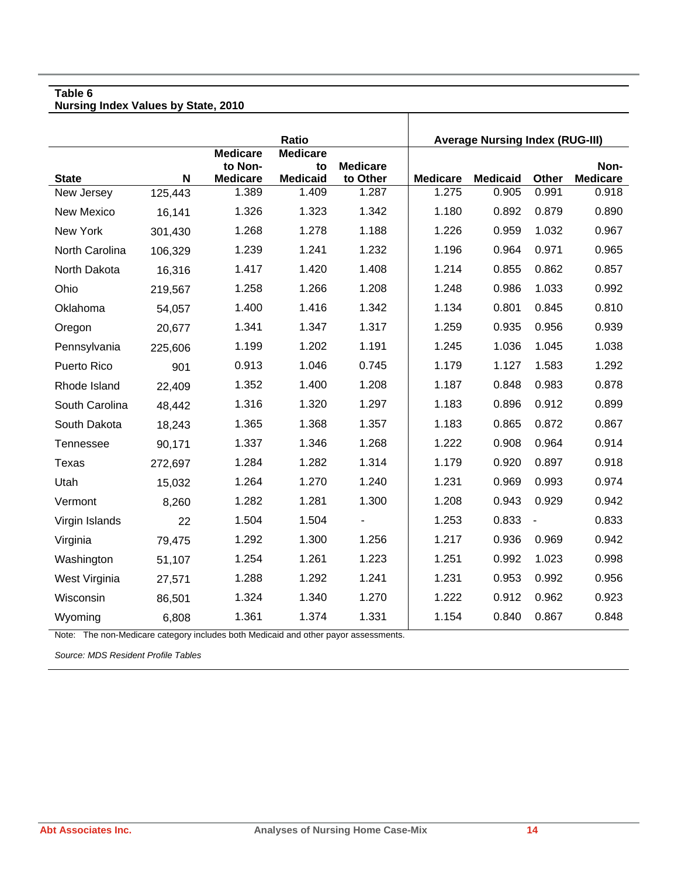**Nursing Index Values by State, 2010** 

|                |         |                                               | <b>Ratio</b>                             |                             |                 | <b>Average Nursing Index (RUG-III)</b> |                |                         |
|----------------|---------|-----------------------------------------------|------------------------------------------|-----------------------------|-----------------|----------------------------------------|----------------|-------------------------|
| <b>State</b>   | N       | <b>Medicare</b><br>to Non-<br><b>Medicare</b> | <b>Medicare</b><br>to<br><b>Medicaid</b> | <b>Medicare</b><br>to Other | <b>Medicare</b> | <b>Medicaid</b>                        | Other          | Non-<br><b>Medicare</b> |
| New Jersey     | 125,443 | 1.389                                         | 1.409                                    | 1.287                       | 1.275           | 0.905                                  | 0.991          | 0.918                   |
| New Mexico     | 16,141  | 1.326                                         | 1.323                                    | 1.342                       | 1.180           | 0.892                                  | 0.879          | 0.890                   |
| New York       | 301,430 | 1.268                                         | 1.278                                    | 1.188                       | 1.226           | 0.959                                  | 1.032          | 0.967                   |
| North Carolina | 106,329 | 1.239                                         | 1.241                                    | 1.232                       | 1.196           | 0.964                                  | 0.971          | 0.965                   |
| North Dakota   | 16,316  | 1.417                                         | 1.420                                    | 1.408                       | 1.214           | 0.855                                  | 0.862          | 0.857                   |
| Ohio           | 219,567 | 1.258                                         | 1.266                                    | 1.208                       | 1.248           | 0.986                                  | 1.033          | 0.992                   |
| Oklahoma       | 54,057  | 1.400                                         | 1.416                                    | 1.342                       | 1.134           | 0.801                                  | 0.845          | 0.810                   |
| Oregon         | 20,677  | 1.341                                         | 1.347                                    | 1.317                       | 1.259           | 0.935                                  | 0.956          | 0.939                   |
| Pennsylvania   | 225,606 | 1.199                                         | 1.202                                    | 1.191                       | 1.245           | 1.036                                  | 1.045          | 1.038                   |
| Puerto Rico    | 901     | 0.913                                         | 1.046                                    | 0.745                       | 1.179           | 1.127                                  | 1.583          | 1.292                   |
| Rhode Island   | 22,409  | 1.352                                         | 1.400                                    | 1.208                       | 1.187           | 0.848                                  | 0.983          | 0.878                   |
| South Carolina | 48,442  | 1.316                                         | 1.320                                    | 1.297                       | 1.183           | 0.896                                  | 0.912          | 0.899                   |
| South Dakota   | 18,243  | 1.365                                         | 1.368                                    | 1.357                       | 1.183           | 0.865                                  | 0.872          | 0.867                   |
| Tennessee      | 90,171  | 1.337                                         | 1.346                                    | 1.268                       | 1.222           | 0.908                                  | 0.964          | 0.914                   |
| Texas          | 272,697 | 1.284                                         | 1.282                                    | 1.314                       | 1.179           | 0.920                                  | 0.897          | 0.918                   |
| Utah           | 15,032  | 1.264                                         | 1.270                                    | 1.240                       | 1.231           | 0.969                                  | 0.993          | 0.974                   |
| Vermont        | 8,260   | 1.282                                         | 1.281                                    | 1.300                       | 1.208           | 0.943                                  | 0.929          | 0.942                   |
| Virgin Islands | 22      | 1.504                                         | 1.504                                    |                             | 1.253           | 0.833                                  | $\blacksquare$ | 0.833                   |
| Virginia       | 79,475  | 1.292                                         | 1.300                                    | 1.256                       | 1.217           | 0.936                                  | 0.969          | 0.942                   |
| Washington     | 51,107  | 1.254                                         | 1.261                                    | 1.223                       | 1.251           | 0.992                                  | 1.023          | 0.998                   |
| West Virginia  | 27,571  | 1.288                                         | 1.292                                    | 1.241                       | 1.231           | 0.953                                  | 0.992          | 0.956                   |
| Wisconsin      | 86,501  | 1.324                                         | 1.340                                    | 1.270                       | 1.222           | 0.912                                  | 0.962          | 0.923                   |
| Wyoming        | 6,808   | 1.361                                         | 1.374                                    | 1.331                       | 1.154           | 0.840                                  | 0.867          | 0.848                   |

T

Note: The non-Medicare category includes both Medicaid and other payor assessments.

*Source: MDS Resident Profile Tables*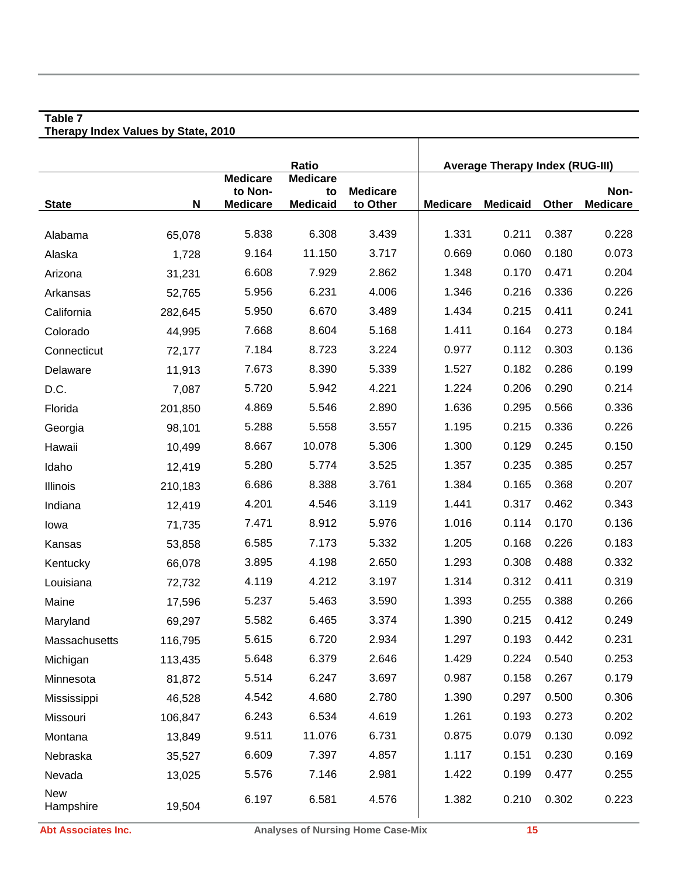#### **Table 7 Therapy Index Values by State, 2010**

|                         |         |                                               | Ratio                                    |                             |                 | <b>Average Therapy Index (RUG-III)</b> |       |                         |
|-------------------------|---------|-----------------------------------------------|------------------------------------------|-----------------------------|-----------------|----------------------------------------|-------|-------------------------|
| <b>State</b>            | N       | <b>Medicare</b><br>to Non-<br><b>Medicare</b> | <b>Medicare</b><br>to<br><b>Medicaid</b> | <b>Medicare</b><br>to Other | <b>Medicare</b> | <b>Medicaid</b>                        | Other | Non-<br><b>Medicare</b> |
| Alabama                 | 65,078  | 5.838                                         | 6.308                                    | 3.439                       | 1.331           | 0.211                                  | 0.387 | 0.228                   |
| Alaska                  | 1,728   | 9.164                                         | 11.150                                   | 3.717                       | 0.669           | 0.060                                  | 0.180 | 0.073                   |
| Arizona                 | 31,231  | 6.608                                         | 7.929                                    | 2.862                       | 1.348           | 0.170                                  | 0.471 | 0.204                   |
| Arkansas                | 52,765  | 5.956                                         | 6.231                                    | 4.006                       | 1.346           | 0.216                                  | 0.336 | 0.226                   |
| California              | 282,645 | 5.950                                         | 6.670                                    | 3.489                       | 1.434           | 0.215                                  | 0.411 | 0.241                   |
| Colorado                | 44,995  | 7.668                                         | 8.604                                    | 5.168                       | 1.411           | 0.164                                  | 0.273 | 0.184                   |
| Connecticut             | 72,177  | 7.184                                         | 8.723                                    | 3.224                       | 0.977           | 0.112                                  | 0.303 | 0.136                   |
| Delaware                | 11,913  | 7.673                                         | 8.390                                    | 5.339                       | 1.527           | 0.182                                  | 0.286 | 0.199                   |
| D.C.                    | 7,087   | 5.720                                         | 5.942                                    | 4.221                       | 1.224           | 0.206                                  | 0.290 | 0.214                   |
| Florida                 | 201,850 | 4.869                                         | 5.546                                    | 2.890                       | 1.636           | 0.295                                  | 0.566 | 0.336                   |
| Georgia                 | 98,101  | 5.288                                         | 5.558                                    | 3.557                       | 1.195           | 0.215                                  | 0.336 | 0.226                   |
| Hawaii                  | 10,499  | 8.667                                         | 10.078                                   | 5.306                       | 1.300           | 0.129                                  | 0.245 | 0.150                   |
| Idaho                   | 12,419  | 5.280                                         | 5.774                                    | 3.525                       | 1.357           | 0.235                                  | 0.385 | 0.257                   |
| Illinois                | 210,183 | 6.686                                         | 8.388                                    | 3.761                       | 1.384           | 0.165                                  | 0.368 | 0.207                   |
| Indiana                 | 12,419  | 4.201                                         | 4.546                                    | 3.119                       | 1.441           | 0.317                                  | 0.462 | 0.343                   |
| lowa                    | 71,735  | 7.471                                         | 8.912                                    | 5.976                       | 1.016           | 0.114                                  | 0.170 | 0.136                   |
| Kansas                  | 53,858  | 6.585                                         | 7.173                                    | 5.332                       | 1.205           | 0.168                                  | 0.226 | 0.183                   |
| Kentucky                | 66,078  | 3.895                                         | 4.198                                    | 2.650                       | 1.293           | 0.308                                  | 0.488 | 0.332                   |
| Louisiana               | 72,732  | 4.119                                         | 4.212                                    | 3.197                       | 1.314           | 0.312                                  | 0.411 | 0.319                   |
| Maine                   | 17,596  | 5.237                                         | 5.463                                    | 3.590                       | 1.393           | 0.255                                  | 0.388 | 0.266                   |
| Maryland                | 69,297  | 5.582                                         | 6.465                                    | 3.374                       | 1.390           | 0.215                                  | 0.412 | 0.249                   |
| Massachusetts           | 116,795 | 5.615                                         | 6.720                                    | 2.934                       | 1.297           | 0.193                                  | 0.442 | 0.231                   |
| Michigan                | 113,435 | 5.648                                         | 6.379                                    | 2.646                       | 1.429           | 0.224                                  | 0.540 | 0.253                   |
| Minnesota               | 81,872  | 5.514                                         | 6.247                                    | 3.697                       | 0.987           | 0.158                                  | 0.267 | 0.179                   |
| Mississippi             | 46,528  | 4.542                                         | 4.680                                    | 2.780                       | 1.390           | 0.297                                  | 0.500 | 0.306                   |
| Missouri                | 106,847 | 6.243                                         | 6.534                                    | 4.619                       | 1.261           | 0.193                                  | 0.273 | 0.202                   |
| Montana                 | 13,849  | 9.511                                         | 11.076                                   | 6.731                       | 0.875           | 0.079                                  | 0.130 | 0.092                   |
| Nebraska                | 35,527  | 6.609                                         | 7.397                                    | 4.857                       | 1.117           | 0.151                                  | 0.230 | 0.169                   |
| Nevada                  | 13,025  | 5.576                                         | 7.146                                    | 2.981                       | 1.422           | 0.199                                  | 0.477 | 0.255                   |
| <b>New</b><br>Hampshire | 19,504  | 6.197                                         | 6.581                                    | 4.576                       | 1.382           | 0.210                                  | 0.302 | 0.223                   |

Τ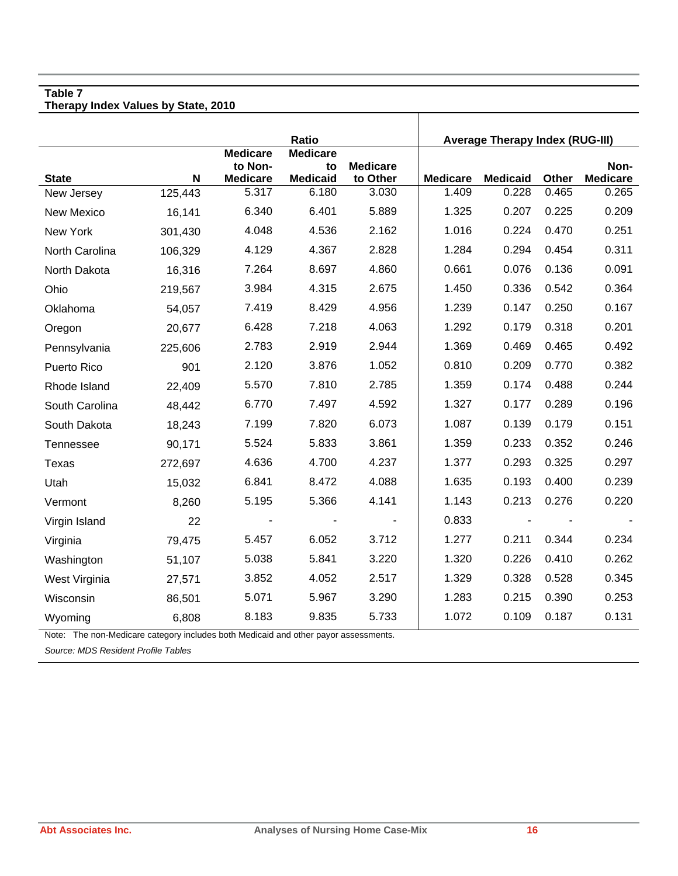**Therapy Index Values by State, 2010** 

|                    |             |                                               | Ratio                                    |                             |                 | <b>Average Therapy Index (RUG-III)</b> |              |                         |
|--------------------|-------------|-----------------------------------------------|------------------------------------------|-----------------------------|-----------------|----------------------------------------|--------------|-------------------------|
| <b>State</b>       | $\mathbf N$ | <b>Medicare</b><br>to Non-<br><b>Medicare</b> | <b>Medicare</b><br>to<br><b>Medicaid</b> | <b>Medicare</b><br>to Other | <b>Medicare</b> | <b>Medicaid</b>                        | <b>Other</b> | Non-<br><b>Medicare</b> |
| New Jersey         | 125,443     | 5.317                                         | 6.180                                    | 3.030                       | 1.409           | 0.228                                  | 0.465        | 0.265                   |
| <b>New Mexico</b>  | 16,141      | 6.340                                         | 6.401                                    | 5.889                       | 1.325           | 0.207                                  | 0.225        | 0.209                   |
| New York           | 301,430     | 4.048                                         | 4.536                                    | 2.162                       | 1.016           | 0.224                                  | 0.470        | 0.251                   |
| North Carolina     | 106,329     | 4.129                                         | 4.367                                    | 2.828                       | 1.284           | 0.294                                  | 0.454        | 0.311                   |
| North Dakota       | 16,316      | 7.264                                         | 8.697                                    | 4.860                       | 0.661           | 0.076                                  | 0.136        | 0.091                   |
| Ohio               | 219,567     | 3.984                                         | 4.315                                    | 2.675                       | 1.450           | 0.336                                  | 0.542        | 0.364                   |
| Oklahoma           | 54,057      | 7.419                                         | 8.429                                    | 4.956                       | 1.239           | 0.147                                  | 0.250        | 0.167                   |
| Oregon             | 20,677      | 6.428                                         | 7.218                                    | 4.063                       | 1.292           | 0.179                                  | 0.318        | 0.201                   |
| Pennsylvania       | 225,606     | 2.783                                         | 2.919                                    | 2.944                       | 1.369           | 0.469                                  | 0.465        | 0.492                   |
| <b>Puerto Rico</b> | 901         | 2.120                                         | 3.876                                    | 1.052                       | 0.810           | 0.209                                  | 0.770        | 0.382                   |
| Rhode Island       | 22,409      | 5.570                                         | 7.810                                    | 2.785                       | 1.359           | 0.174                                  | 0.488        | 0.244                   |
| South Carolina     | 48,442      | 6.770                                         | 7.497                                    | 4.592                       | 1.327           | 0.177                                  | 0.289        | 0.196                   |
| South Dakota       | 18,243      | 7.199                                         | 7.820                                    | 6.073                       | 1.087           | 0.139                                  | 0.179        | 0.151                   |
| Tennessee          | 90,171      | 5.524                                         | 5.833                                    | 3.861                       | 1.359           | 0.233                                  | 0.352        | 0.246                   |
| Texas              | 272,697     | 4.636                                         | 4.700                                    | 4.237                       | 1.377           | 0.293                                  | 0.325        | 0.297                   |
| Utah               | 15,032      | 6.841                                         | 8.472                                    | 4.088                       | 1.635           | 0.193                                  | 0.400        | 0.239                   |
| Vermont            | 8,260       | 5.195                                         | 5.366                                    | 4.141                       | 1.143           | 0.213                                  | 0.276        | 0.220                   |
| Virgin Island      | 22          |                                               |                                          |                             | 0.833           |                                        |              |                         |
| Virginia           | 79,475      | 5.457                                         | 6.052                                    | 3.712                       | 1.277           | 0.211                                  | 0.344        | 0.234                   |
| Washington         | 51,107      | 5.038                                         | 5.841                                    | 3.220                       | 1.320           | 0.226                                  | 0.410        | 0.262                   |
| West Virginia      | 27,571      | 3.852                                         | 4.052                                    | 2.517                       | 1.329           | 0.328                                  | 0.528        | 0.345                   |
| Wisconsin          | 86,501      | 5.071                                         | 5.967                                    | 3.290                       | 1.283           | 0.215                                  | 0.390        | 0.253                   |
| Wyoming            | 6,808       | 8.183                                         | 9.835                                    | 5.733                       | 1.072           | 0.109                                  | 0.187        | 0.131                   |

Note: The non-Medicare category includes both Medicaid and other payor assessments.

*Source: MDS Resident Profile Tables*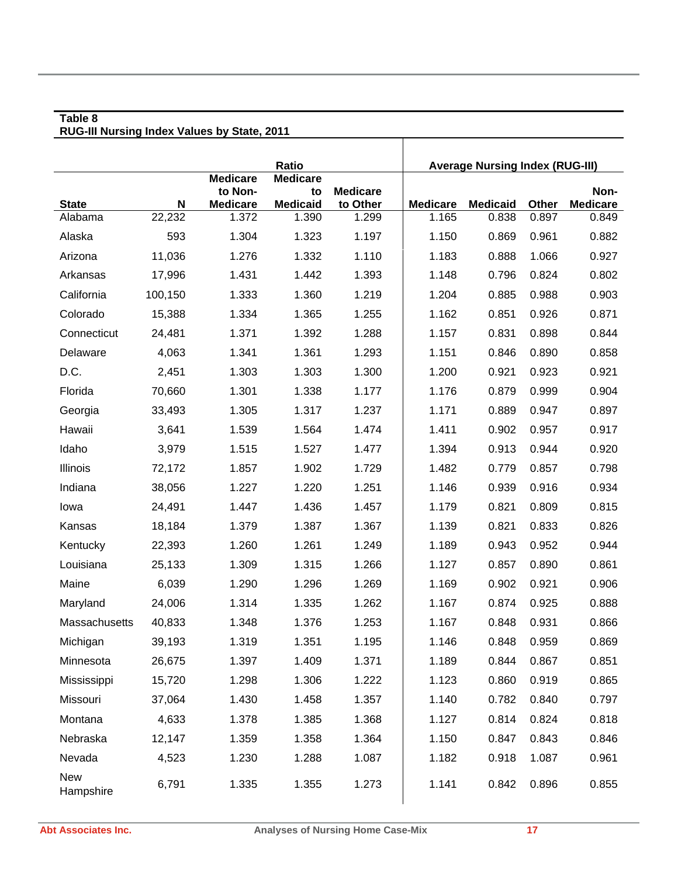#### **Table 8 RUG-III Nursing Index Values by State, 2011**

|                         |             |                            | Ratio                    |                   |                          | <b>Average Nursing Index (RUG-III)</b> |                |                          |
|-------------------------|-------------|----------------------------|--------------------------|-------------------|--------------------------|----------------------------------------|----------------|--------------------------|
|                         |             | <b>Medicare</b><br>to Non- | <b>Medicare</b><br>to    | <b>Medicare</b>   |                          |                                        |                | Non-                     |
| <b>State</b><br>Alabama | N<br>22,232 | <b>Medicare</b><br>1.372   | <b>Medicaid</b><br>1.390 | to Other<br>1.299 | <b>Medicare</b><br>1.165 | <b>Medicaid</b><br>0.838               | Other<br>0.897 | <b>Medicare</b><br>0.849 |
|                         |             |                            |                          |                   |                          |                                        |                |                          |
| Alaska                  | 593         | 1.304                      | 1.323                    | 1.197             | 1.150                    | 0.869                                  | 0.961          | 0.882                    |
| Arizona                 | 11,036      | 1.276                      | 1.332                    | 1.110             | 1.183                    | 0.888                                  | 1.066          | 0.927                    |
| Arkansas                | 17,996      | 1.431                      | 1.442                    | 1.393             | 1.148                    | 0.796                                  | 0.824          | 0.802                    |
| California              | 100,150     | 1.333                      | 1.360                    | 1.219             | 1.204                    | 0.885                                  | 0.988          | 0.903                    |
| Colorado                | 15,388      | 1.334                      | 1.365                    | 1.255             | 1.162                    | 0.851                                  | 0.926          | 0.871                    |
| Connecticut             | 24,481      | 1.371                      | 1.392                    | 1.288             | 1.157                    | 0.831                                  | 0.898          | 0.844                    |
| Delaware                | 4,063       | 1.341                      | 1.361                    | 1.293             | 1.151                    | 0.846                                  | 0.890          | 0.858                    |
| D.C.                    | 2,451       | 1.303                      | 1.303                    | 1.300             | 1.200                    | 0.921                                  | 0.923          | 0.921                    |
| Florida                 | 70,660      | 1.301                      | 1.338                    | 1.177             | 1.176                    | 0.879                                  | 0.999          | 0.904                    |
| Georgia                 | 33,493      | 1.305                      | 1.317                    | 1.237             | 1.171                    | 0.889                                  | 0.947          | 0.897                    |
| Hawaii                  | 3,641       | 1.539                      | 1.564                    | 1.474             | 1.411                    | 0.902                                  | 0.957          | 0.917                    |
| Idaho                   | 3,979       | 1.515                      | 1.527                    | 1.477             | 1.394                    | 0.913                                  | 0.944          | 0.920                    |
| Illinois                | 72,172      | 1.857                      | 1.902                    | 1.729             | 1.482                    | 0.779                                  | 0.857          | 0.798                    |
| Indiana                 | 38,056      | 1.227                      | 1.220                    | 1.251             | 1.146                    | 0.939                                  | 0.916          | 0.934                    |
| lowa                    | 24,491      | 1.447                      | 1.436                    | 1.457             | 1.179                    | 0.821                                  | 0.809          | 0.815                    |
| Kansas                  | 18,184      | 1.379                      | 1.387                    | 1.367             | 1.139                    | 0.821                                  | 0.833          | 0.826                    |
| Kentucky                | 22,393      | 1.260                      | 1.261                    | 1.249             | 1.189                    | 0.943                                  | 0.952          | 0.944                    |
| Louisiana               | 25,133      | 1.309                      | 1.315                    | 1.266             | 1.127                    | 0.857                                  | 0.890          | 0.861                    |
| Maine                   | 6,039       | 1.290                      | 1.296                    | 1.269             | 1.169                    | 0.902                                  | 0.921          | 0.906                    |
| Maryland                | 24,006      | 1.314                      | 1.335                    | 1.262             | 1.167                    | 0.874                                  | 0.925          | 0.888                    |
| Massachusetts           | 40,833      | 1.348                      | 1.376                    | 1.253             | 1.167                    | 0.848                                  | 0.931          | 0.866                    |
| Michigan                | 39,193      | 1.319                      | 1.351                    | 1.195             | 1.146                    | 0.848                                  | 0.959          | 0.869                    |
| Minnesota               | 26,675      | 1.397                      | 1.409                    | 1.371             | 1.189                    | 0.844                                  | 0.867          | 0.851                    |
| Mississippi             | 15,720      | 1.298                      | 1.306                    | 1.222             | 1.123                    | 0.860                                  | 0.919          | 0.865                    |
| Missouri                | 37,064      | 1.430                      | 1.458                    | 1.357             | 1.140                    | 0.782                                  | 0.840          | 0.797                    |
| Montana                 | 4,633       | 1.378                      | 1.385                    | 1.368             | 1.127                    | 0.814                                  | 0.824          | 0.818                    |
| Nebraska                | 12,147      | 1.359                      | 1.358                    | 1.364             | 1.150                    | 0.847                                  | 0.843          | 0.846                    |
| Nevada                  | 4,523       | 1.230                      | 1.288                    | 1.087             | 1.182                    | 0.918                                  | 1.087          | 0.961                    |
| <b>New</b><br>Hampshire | 6,791       | 1.335                      | 1.355                    | 1.273             | 1.141                    | 0.842                                  | 0.896          | 0.855                    |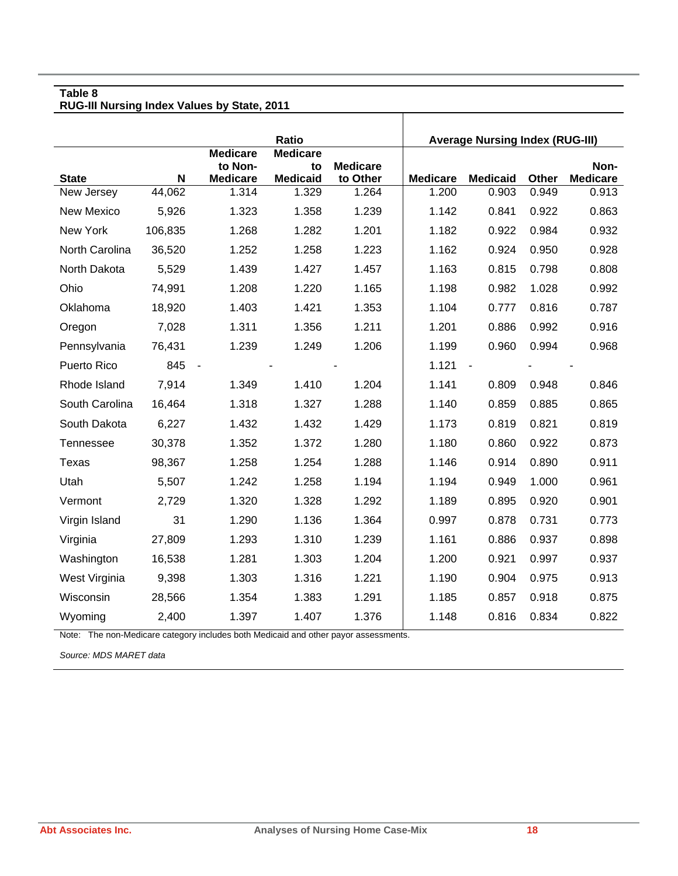|                   | <b>Ratio</b> |                                               |                                          |                             | <b>Average Nursing Index (RUG-III)</b> |                 |       |                         |
|-------------------|--------------|-----------------------------------------------|------------------------------------------|-----------------------------|----------------------------------------|-----------------|-------|-------------------------|
| <b>State</b>      | N            | <b>Medicare</b><br>to Non-<br><b>Medicare</b> | <b>Medicare</b><br>to<br><b>Medicaid</b> | <b>Medicare</b><br>to Other | <b>Medicare</b>                        | <b>Medicaid</b> | Other | Non-<br><b>Medicare</b> |
| New Jersey        | 44,062       | 1.314                                         | 1.329                                    | 1.264                       | 1.200                                  | 0.903           | 0.949 | 0.913                   |
| <b>New Mexico</b> | 5,926        | 1.323                                         | 1.358                                    | 1.239                       | 1.142                                  | 0.841           | 0.922 | 0.863                   |
| New York          | 106,835      | 1.268                                         | 1.282                                    | 1.201                       | 1.182                                  | 0.922           | 0.984 | 0.932                   |
| North Carolina    | 36,520       | 1.252                                         | 1.258                                    | 1.223                       | 1.162                                  | 0.924           | 0.950 | 0.928                   |
| North Dakota      | 5,529        | 1.439                                         | 1.427                                    | 1.457                       | 1.163                                  | 0.815           | 0.798 | 0.808                   |
| Ohio              | 74,991       | 1.208                                         | 1.220                                    | 1.165                       | 1.198                                  | 0.982           | 1.028 | 0.992                   |
| Oklahoma          | 18,920       | 1.403                                         | 1.421                                    | 1.353                       | 1.104                                  | 0.777           | 0.816 | 0.787                   |
| Oregon            | 7,028        | 1.311                                         | 1.356                                    | 1.211                       | 1.201                                  | 0.886           | 0.992 | 0.916                   |
| Pennsylvania      | 76,431       | 1.239                                         | 1.249                                    | 1.206                       | 1.199                                  | 0.960           | 0.994 | 0.968                   |
| Puerto Rico       | 845          | $\sim$                                        |                                          |                             | 1.121                                  |                 |       |                         |
| Rhode Island      | 7,914        | 1.349                                         | 1.410                                    | 1.204                       | 1.141                                  | 0.809           | 0.948 | 0.846                   |
| South Carolina    | 16,464       | 1.318                                         | 1.327                                    | 1.288                       | 1.140                                  | 0.859           | 0.885 | 0.865                   |
| South Dakota      | 6,227        | 1.432                                         | 1.432                                    | 1.429                       | 1.173                                  | 0.819           | 0.821 | 0.819                   |
| Tennessee         | 30,378       | 1.352                                         | 1.372                                    | 1.280                       | 1.180                                  | 0.860           | 0.922 | 0.873                   |
| <b>Texas</b>      | 98,367       | 1.258                                         | 1.254                                    | 1.288                       | 1.146                                  | 0.914           | 0.890 | 0.911                   |
| Utah              | 5,507        | 1.242                                         | 1.258                                    | 1.194                       | 1.194                                  | 0.949           | 1.000 | 0.961                   |
| Vermont           | 2,729        | 1.320                                         | 1.328                                    | 1.292                       | 1.189                                  | 0.895           | 0.920 | 0.901                   |
| Virgin Island     | 31           | 1.290                                         | 1.136                                    | 1.364                       | 0.997                                  | 0.878           | 0.731 | 0.773                   |
| Virginia          | 27,809       | 1.293                                         | 1.310                                    | 1.239                       | 1.161                                  | 0.886           | 0.937 | 0.898                   |
| Washington        | 16,538       | 1.281                                         | 1.303                                    | 1.204                       | 1.200                                  | 0.921           | 0.997 | 0.937                   |
| West Virginia     | 9,398        | 1.303                                         | 1.316                                    | 1.221                       | 1.190                                  | 0.904           | 0.975 | 0.913                   |
| Wisconsin         | 28,566       | 1.354                                         | 1.383                                    | 1.291                       | 1.185                                  | 0.857           | 0.918 | 0.875                   |
| Wyoming           | 2,400        | 1.397                                         | 1.407                                    | 1.376                       | 1.148                                  | 0.816           | 0.834 | 0.822                   |

 $\mathbf{I}$ 

Note: The non-Medicare category includes both Medicaid and other payor assessments.

*Source: MDS MARET data*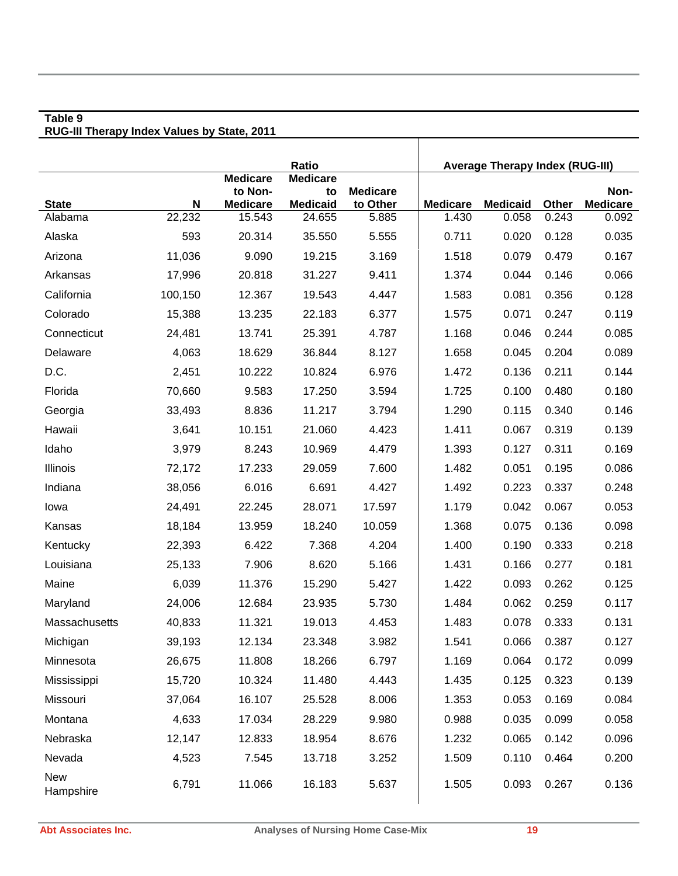|                         |             | <b>Medicare</b>           | <b>Ratio</b><br><b>Medicare</b> |                   |                          | <b>Average Therapy Index (RUG-III)</b> |                |                          |
|-------------------------|-------------|---------------------------|---------------------------------|-------------------|--------------------------|----------------------------------------|----------------|--------------------------|
|                         |             | to Non-                   | to                              | <b>Medicare</b>   |                          |                                        |                | Non-                     |
| <b>State</b><br>Alabama | N<br>22,232 | <b>Medicare</b><br>15.543 | <b>Medicaid</b><br>24.655       | to Other<br>5.885 | <b>Medicare</b><br>1.430 | <b>Medicaid</b><br>0.058               | Other<br>0.243 | <b>Medicare</b><br>0.092 |
| Alaska                  | 593         | 20.314                    | 35.550                          | 5.555             | 0.711                    | 0.020                                  | 0.128          | 0.035                    |
|                         | 11,036      | 9.090                     | 19.215                          | 3.169             | 1.518                    | 0.079                                  | 0.479          | 0.167                    |
| Arizona<br>Arkansas     |             | 20.818                    | 31.227                          | 9.411             | 1.374                    | 0.044                                  | 0.146          | 0.066                    |
|                         | 17,996      |                           |                                 |                   |                          |                                        |                |                          |
| California              | 100,150     | 12.367                    | 19.543                          | 4.447             | 1.583                    | 0.081                                  | 0.356          | 0.128                    |
| Colorado                | 15,388      | 13.235                    | 22.183                          | 6.377             | 1.575                    | 0.071                                  | 0.247          | 0.119                    |
| Connecticut             | 24,481      | 13.741                    | 25.391                          | 4.787             | 1.168                    | 0.046                                  | 0.244          | 0.085                    |
| Delaware                | 4,063       | 18.629                    | 36.844                          | 8.127             | 1.658                    | 0.045                                  | 0.204          | 0.089                    |
| D.C.                    | 2,451       | 10.222                    | 10.824                          | 6.976             | 1.472                    | 0.136                                  | 0.211          | 0.144                    |
| Florida                 | 70,660      | 9.583                     | 17.250                          | 3.594             | 1.725                    | 0.100                                  | 0.480          | 0.180                    |
| Georgia                 | 33,493      | 8.836                     | 11.217                          | 3.794             | 1.290                    | 0.115                                  | 0.340          | 0.146                    |
| Hawaii                  | 3,641       | 10.151                    | 21.060                          | 4.423             | 1.411                    | 0.067                                  | 0.319          | 0.139                    |
| Idaho                   | 3,979       | 8.243                     | 10.969                          | 4.479             | 1.393                    | 0.127                                  | 0.311          | 0.169                    |
| Illinois                | 72,172      | 17.233                    | 29.059                          | 7.600             | 1.482                    | 0.051                                  | 0.195          | 0.086                    |
| Indiana                 | 38,056      | 6.016                     | 6.691                           | 4.427             | 1.492                    | 0.223                                  | 0.337          | 0.248                    |
| lowa                    | 24,491      | 22.245                    | 28.071                          | 17.597            | 1.179                    | 0.042                                  | 0.067          | 0.053                    |
| Kansas                  | 18,184      | 13.959                    | 18.240                          | 10.059            | 1.368                    | 0.075                                  | 0.136          | 0.098                    |
| Kentucky                | 22,393      | 6.422                     | 7.368                           | 4.204             | 1.400                    | 0.190                                  | 0.333          | 0.218                    |
| Louisiana               | 25,133      | 7.906                     | 8.620                           | 5.166             | 1.431                    | 0.166                                  | 0.277          | 0.181                    |
| Maine                   | 6,039       | 11.376                    | 15.290                          | 5.427             | 1.422                    | 0.093                                  | 0.262          | 0.125                    |
| Maryland                | 24,006      | 12.684                    | 23.935                          | 5.730             | 1.484                    | 0.062                                  | 0.259          | 0.117                    |
| Massachusetts           | 40,833      | 11.321                    | 19.013                          | 4.453             | 1.483                    | 0.078                                  | 0.333          | 0.131                    |
| Michigan                | 39,193      | 12.134                    | 23.348                          | 3.982             | 1.541                    | 0.066                                  | 0.387          | 0.127                    |
| Minnesota               | 26,675      | 11.808                    | 18.266                          | 6.797             | 1.169                    | 0.064                                  | 0.172          | 0.099                    |
| Mississippi             | 15,720      | 10.324                    | 11.480                          | 4.443             | 1.435                    | 0.125                                  | 0.323          | 0.139                    |
| Missouri                | 37,064      | 16.107                    | 25.528                          | 8.006             | 1.353                    | 0.053                                  | 0.169          | 0.084                    |
| Montana                 | 4,633       | 17.034                    | 28.229                          | 9.980             | 0.988                    | 0.035                                  | 0.099          | 0.058                    |
| Nebraska                | 12,147      | 12.833                    | 18.954                          | 8.676             | 1.232                    | 0.065                                  | 0.142          | 0.096                    |
| Nevada                  | 4,523       | 7.545                     | 13.718                          | 3.252             | 1.509                    | 0.110                                  | 0.464          | 0.200                    |
| New<br>Hampshire        | 6,791       | 11.066                    | 16.183                          | 5.637             | 1.505                    | 0.093                                  | 0.267          | 0.136                    |

#### **Table 9 RUG-III Therapy Index Values by State, 2011**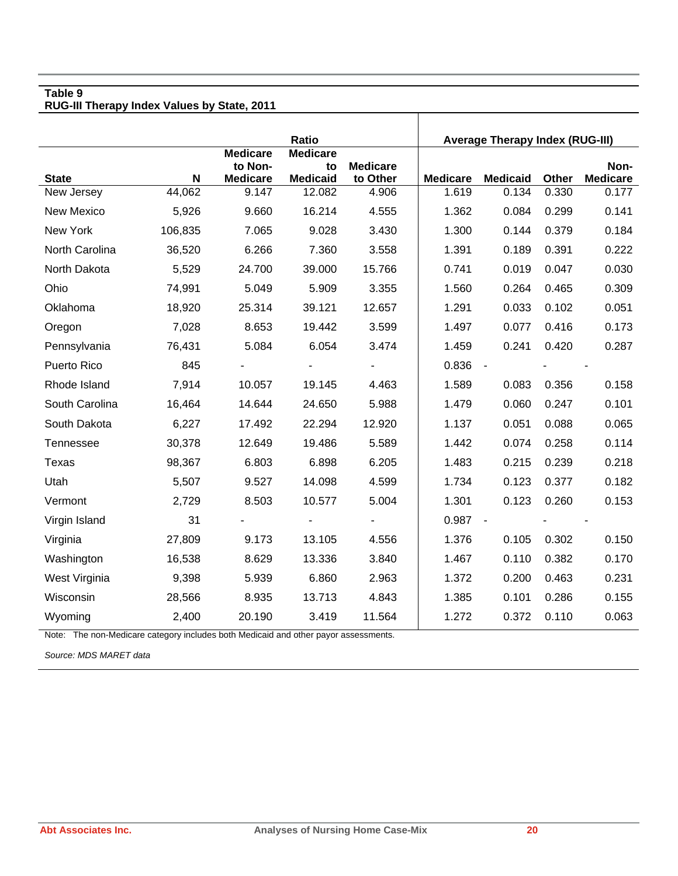**RUG-III Therapy Index Values by State, 2011** 

|                |             |                                               | Ratio                                    |                             |                 | <b>Average Therapy Index (RUG-III)</b> |       |                         |
|----------------|-------------|-----------------------------------------------|------------------------------------------|-----------------------------|-----------------|----------------------------------------|-------|-------------------------|
| <b>State</b>   | $\mathbf N$ | <b>Medicare</b><br>to Non-<br><b>Medicare</b> | <b>Medicare</b><br>to<br><b>Medicaid</b> | <b>Medicare</b><br>to Other | <b>Medicare</b> | <b>Medicaid</b>                        | Other | Non-<br><b>Medicare</b> |
| New Jersey     | 44,062      | 9.147                                         | 12.082                                   | 4.906                       | 1.619           | 0.134                                  | 0.330 | 0.177                   |
| New Mexico     | 5,926       | 9.660                                         | 16.214                                   | 4.555                       | 1.362           | 0.084                                  | 0.299 | 0.141                   |
| New York       | 106,835     | 7.065                                         | 9.028                                    | 3.430                       | 1.300           | 0.144                                  | 0.379 | 0.184                   |
| North Carolina | 36,520      | 6.266                                         | 7.360                                    | 3.558                       | 1.391           | 0.189                                  | 0.391 | 0.222                   |
| North Dakota   | 5,529       | 24.700                                        | 39.000                                   | 15.766                      | 0.741           | 0.019                                  | 0.047 | 0.030                   |
| Ohio           | 74,991      | 5.049                                         | 5.909                                    | 3.355                       | 1.560           | 0.264                                  | 0.465 | 0.309                   |
| Oklahoma       | 18,920      | 25.314                                        | 39.121                                   | 12.657                      | 1.291           | 0.033                                  | 0.102 | 0.051                   |
| Oregon         | 7,028       | 8.653                                         | 19.442                                   | 3.599                       | 1.497           | 0.077                                  | 0.416 | 0.173                   |
| Pennsylvania   | 76,431      | 5.084                                         | 6.054                                    | 3.474                       | 1.459           | 0.241                                  | 0.420 | 0.287                   |
| Puerto Rico    | 845         |                                               |                                          |                             | 0.836           | $\sim$                                 |       |                         |
| Rhode Island   | 7,914       | 10.057                                        | 19.145                                   | 4.463                       | 1.589           | 0.083                                  | 0.356 | 0.158                   |
| South Carolina | 16,464      | 14.644                                        | 24.650                                   | 5.988                       | 1.479           | 0.060                                  | 0.247 | 0.101                   |
| South Dakota   | 6,227       | 17.492                                        | 22.294                                   | 12.920                      | 1.137           | 0.051                                  | 0.088 | 0.065                   |
| Tennessee      | 30,378      | 12.649                                        | 19.486                                   | 5.589                       | 1.442           | 0.074                                  | 0.258 | 0.114                   |
| Texas          | 98,367      | 6.803                                         | 6.898                                    | 6.205                       | 1.483           | 0.215                                  | 0.239 | 0.218                   |
| Utah           | 5,507       | 9.527                                         | 14.098                                   | 4.599                       | 1.734           | 0.123                                  | 0.377 | 0.182                   |
| Vermont        | 2,729       | 8.503                                         | 10.577                                   | 5.004                       | 1.301           | 0.123                                  | 0.260 | 0.153                   |
| Virgin Island  | 31          |                                               |                                          |                             | 0.987           | $\sim$                                 |       |                         |
| Virginia       | 27,809      | 9.173                                         | 13.105                                   | 4.556                       | 1.376           | 0.105                                  | 0.302 | 0.150                   |
| Washington     | 16,538      | 8.629                                         | 13.336                                   | 3.840                       | 1.467           | 0.110                                  | 0.382 | 0.170                   |
| West Virginia  | 9,398       | 5.939                                         | 6.860                                    | 2.963                       | 1.372           | 0.200                                  | 0.463 | 0.231                   |
| Wisconsin      | 28,566      | 8.935                                         | 13.713                                   | 4.843                       | 1.385           | 0.101                                  | 0.286 | 0.155                   |
| Wyoming        | 2,400       | 20.190                                        | 3.419                                    | 11.564                      | 1.272           | 0.372                                  | 0.110 | 0.063                   |

Note: The non-Medicare category includes both Medicaid and other payor assessments.

*Source: MDS MARET data*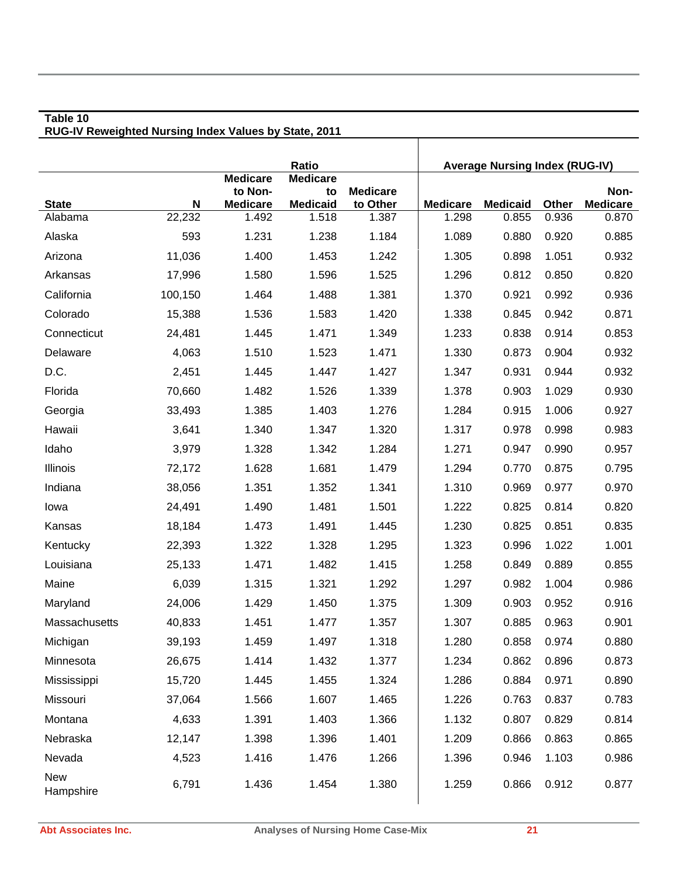|                  |         |                            | Ratio                 |                 |                 | <b>Average Nursing Index (RUG-IV)</b> |       |                 |
|------------------|---------|----------------------------|-----------------------|-----------------|-----------------|---------------------------------------|-------|-----------------|
|                  |         | <b>Medicare</b><br>to Non- | <b>Medicare</b><br>to | <b>Medicare</b> |                 |                                       |       | Non-            |
| <b>State</b>     | N       | <b>Medicare</b>            | <b>Medicaid</b>       | to Other        | <b>Medicare</b> | <b>Medicaid</b>                       | Other | <b>Medicare</b> |
| Alabama          | 22,232  | 1.492                      | 1.518                 | 1.387           | 1.298           | 0.855                                 | 0.936 | 0.870           |
| Alaska           | 593     | 1.231                      | 1.238                 | 1.184           | 1.089           | 0.880                                 | 0.920 | 0.885           |
| Arizona          | 11,036  | 1.400                      | 1.453                 | 1.242           | 1.305           | 0.898                                 | 1.051 | 0.932           |
| Arkansas         | 17,996  | 1.580                      | 1.596                 | 1.525           | 1.296           | 0.812                                 | 0.850 | 0.820           |
| California       | 100,150 | 1.464                      | 1.488                 | 1.381           | 1.370           | 0.921                                 | 0.992 | 0.936           |
| Colorado         | 15,388  | 1.536                      | 1.583                 | 1.420           | 1.338           | 0.845                                 | 0.942 | 0.871           |
| Connecticut      | 24,481  | 1.445                      | 1.471                 | 1.349           | 1.233           | 0.838                                 | 0.914 | 0.853           |
| Delaware         | 4,063   | 1.510                      | 1.523                 | 1.471           | 1.330           | 0.873                                 | 0.904 | 0.932           |
| D.C.             | 2,451   | 1.445                      | 1.447                 | 1.427           | 1.347           | 0.931                                 | 0.944 | 0.932           |
| Florida          | 70,660  | 1.482                      | 1.526                 | 1.339           | 1.378           | 0.903                                 | 1.029 | 0.930           |
| Georgia          | 33,493  | 1.385                      | 1.403                 | 1.276           | 1.284           | 0.915                                 | 1.006 | 0.927           |
| Hawaii           | 3,641   | 1.340                      | 1.347                 | 1.320           | 1.317           | 0.978                                 | 0.998 | 0.983           |
| Idaho            | 3,979   | 1.328                      | 1.342                 | 1.284           | 1.271           | 0.947                                 | 0.990 | 0.957           |
| Illinois         | 72,172  | 1.628                      | 1.681                 | 1.479           | 1.294           | 0.770                                 | 0.875 | 0.795           |
| Indiana          | 38,056  | 1.351                      | 1.352                 | 1.341           | 1.310           | 0.969                                 | 0.977 | 0.970           |
| lowa             | 24,491  | 1.490                      | 1.481                 | 1.501           | 1.222           | 0.825                                 | 0.814 | 0.820           |
| Kansas           | 18,184  | 1.473                      | 1.491                 | 1.445           | 1.230           | 0.825                                 | 0.851 | 0.835           |
| Kentucky         | 22,393  | 1.322                      | 1.328                 | 1.295           | 1.323           | 0.996                                 | 1.022 | 1.001           |
| Louisiana        | 25,133  | 1.471                      | 1.482                 | 1.415           | 1.258           | 0.849                                 | 0.889 | 0.855           |
| Maine            | 6,039   | 1.315                      | 1.321                 | 1.292           | 1.297           | 0.982                                 | 1.004 | 0.986           |
| Maryland         | 24,006  | 1.429                      | 1.450                 | 1.375           | 1.309           | 0.903                                 | 0.952 | 0.916           |
| Massachusetts    | 40,833  | 1.451                      | 1.477                 | 1.357           | 1.307           | 0.885                                 | 0.963 | 0.901           |
| Michigan         | 39,193  | 1.459                      | 1.497                 | 1.318           | 1.280           | 0.858                                 | 0.974 | 0.880           |
| Minnesota        | 26,675  | 1.414                      | 1.432                 | 1.377           | 1.234           | 0.862                                 | 0.896 | 0.873           |
| Mississippi      | 15,720  | 1.445                      | 1.455                 | 1.324           | 1.286           | 0.884                                 | 0.971 | 0.890           |
| Missouri         | 37,064  | 1.566                      | 1.607                 | 1.465           | 1.226           | 0.763                                 | 0.837 | 0.783           |
| Montana          | 4,633   | 1.391                      | 1.403                 | 1.366           | 1.132           | 0.807                                 | 0.829 | 0.814           |
| Nebraska         | 12,147  | 1.398                      | 1.396                 | 1.401           | 1.209           | 0.866                                 | 0.863 | 0.865           |
| Nevada           | 4,523   | 1.416                      | 1.476                 | 1.266           | 1.396           | 0.946                                 | 1.103 | 0.986           |
| New<br>Hampshire | 6,791   | 1.436                      | 1.454                 | 1.380           | 1.259           | 0.866                                 | 0.912 | 0.877           |

#### **Table 10 RUG-IV Reweighted Nursing Index Values by State, 2011**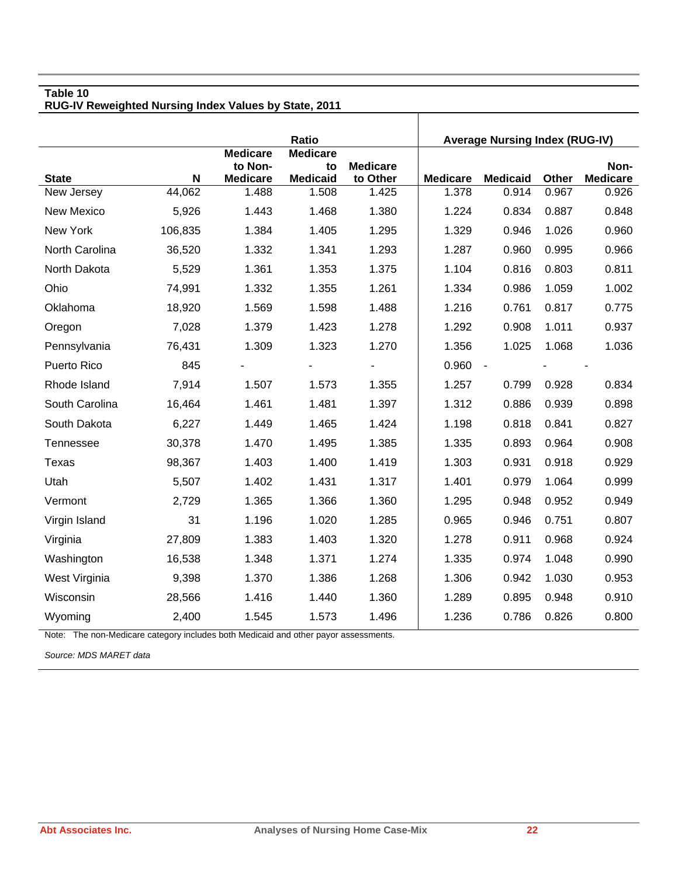#### **Table 10 RUG-IV Reweighted Nursing Index Values by State, 2011**

|                            |             |                            | Ratio                    |                   |                          | <b>Average Nursing Index (RUG-IV)</b> |                |                          |
|----------------------------|-------------|----------------------------|--------------------------|-------------------|--------------------------|---------------------------------------|----------------|--------------------------|
|                            |             | <b>Medicare</b><br>to Non- | <b>Medicare</b><br>to    | <b>Medicare</b>   |                          |                                       |                | Non-                     |
| <b>State</b><br>New Jersey | N<br>44,062 | <b>Medicare</b><br>1.488   | <b>Medicaid</b><br>1.508 | to Other<br>1.425 | <b>Medicare</b><br>1.378 | <b>Medicaid</b><br>0.914              | Other<br>0.967 | <b>Medicare</b><br>0.926 |
|                            |             |                            |                          |                   |                          |                                       |                |                          |
| New Mexico                 | 5,926       | 1.443                      | 1.468                    | 1.380             | 1.224                    | 0.834                                 | 0.887          | 0.848                    |
| New York                   | 106,835     | 1.384                      | 1.405                    | 1.295             | 1.329                    | 0.946                                 | 1.026          | 0.960                    |
| North Carolina             | 36,520      | 1.332                      | 1.341                    | 1.293             | 1.287                    | 0.960                                 | 0.995          | 0.966                    |
| North Dakota               | 5,529       | 1.361                      | 1.353                    | 1.375             | 1.104                    | 0.816                                 | 0.803          | 0.811                    |
| Ohio                       | 74,991      | 1.332                      | 1.355                    | 1.261             | 1.334                    | 0.986                                 | 1.059          | 1.002                    |
| Oklahoma                   | 18,920      | 1.569                      | 1.598                    | 1.488             | 1.216                    | 0.761                                 | 0.817          | 0.775                    |
| Oregon                     | 7,028       | 1.379                      | 1.423                    | 1.278             | 1.292                    | 0.908                                 | 1.011          | 0.937                    |
| Pennsylvania               | 76,431      | 1.309                      | 1.323                    | 1.270             | 1.356                    | 1.025                                 | 1.068          | 1.036                    |
| Puerto Rico                | 845         |                            |                          |                   | 0.960                    | $\sim$                                |                |                          |
| Rhode Island               | 7,914       | 1.507                      | 1.573                    | 1.355             | 1.257                    | 0.799                                 | 0.928          | 0.834                    |
| South Carolina             | 16,464      | 1.461                      | 1.481                    | 1.397             | 1.312                    | 0.886                                 | 0.939          | 0.898                    |
| South Dakota               | 6,227       | 1.449                      | 1.465                    | 1.424             | 1.198                    | 0.818                                 | 0.841          | 0.827                    |
| Tennessee                  | 30,378      | 1.470                      | 1.495                    | 1.385             | 1.335                    | 0.893                                 | 0.964          | 0.908                    |
| Texas                      | 98,367      | 1.403                      | 1.400                    | 1.419             | 1.303                    | 0.931                                 | 0.918          | 0.929                    |
| Utah                       | 5,507       | 1.402                      | 1.431                    | 1.317             | 1.401                    | 0.979                                 | 1.064          | 0.999                    |
| Vermont                    | 2,729       | 1.365                      | 1.366                    | 1.360             | 1.295                    | 0.948                                 | 0.952          | 0.949                    |
| Virgin Island              | 31          | 1.196                      | 1.020                    | 1.285             | 0.965                    | 0.946                                 | 0.751          | 0.807                    |
| Virginia                   | 27,809      | 1.383                      | 1.403                    | 1.320             | 1.278                    | 0.911                                 | 0.968          | 0.924                    |
| Washington                 | 16,538      | 1.348                      | 1.371                    | 1.274             | 1.335                    | 0.974                                 | 1.048          | 0.990                    |
| West Virginia              | 9,398       | 1.370                      | 1.386                    | 1.268             | 1.306                    | 0.942                                 | 1.030          | 0.953                    |
| Wisconsin                  | 28,566      | 1.416                      | 1.440                    | 1.360             | 1.289                    | 0.895                                 | 0.948          | 0.910                    |
| Wyoming                    | 2,400       | 1.545                      | 1.573                    | 1.496             | 1.236                    | 0.786                                 | 0.826          | 0.800                    |

Τ

Note: The non-Medicare category includes both Medicaid and other payor assessments.

*Source: MDS MARET data*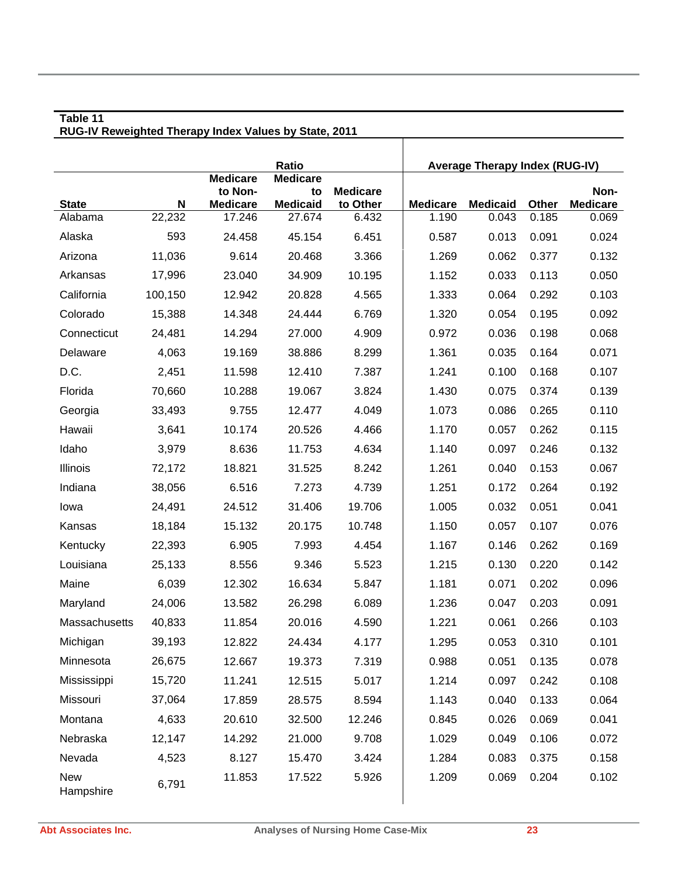|                         |         |                            | <b>Ratio</b>          |                 |                 | <b>Average Therapy Index (RUG-IV)</b> |       |                 |
|-------------------------|---------|----------------------------|-----------------------|-----------------|-----------------|---------------------------------------|-------|-----------------|
|                         |         | <b>Medicare</b><br>to Non- | <b>Medicare</b><br>to | <b>Medicare</b> |                 |                                       |       | Non-            |
| <b>State</b>            | N       | <b>Medicare</b>            | <b>Medicaid</b>       | to Other        | <b>Medicare</b> | <b>Medicaid</b>                       | Other | <b>Medicare</b> |
| Alabama                 | 22,232  | 17.246                     | 27.674                | 6.432           | 1.190           | 0.043                                 | 0.185 | 0.069           |
| Alaska                  | 593     | 24.458                     | 45.154                | 6.451           | 0.587           | 0.013                                 | 0.091 | 0.024           |
| Arizona                 | 11,036  | 9.614                      | 20.468                | 3.366           | 1.269           | 0.062                                 | 0.377 | 0.132           |
| Arkansas                | 17,996  | 23.040                     | 34.909                | 10.195          | 1.152           | 0.033                                 | 0.113 | 0.050           |
| California              | 100,150 | 12.942                     | 20.828                | 4.565           | 1.333           | 0.064                                 | 0.292 | 0.103           |
| Colorado                | 15,388  | 14.348                     | 24.444                | 6.769           | 1.320           | 0.054                                 | 0.195 | 0.092           |
| Connecticut             | 24,481  | 14.294                     | 27.000                | 4.909           | 0.972           | 0.036                                 | 0.198 | 0.068           |
| Delaware                | 4,063   | 19.169                     | 38.886                | 8.299           | 1.361           | 0.035                                 | 0.164 | 0.071           |
| D.C.                    | 2,451   | 11.598                     | 12.410                | 7.387           | 1.241           | 0.100                                 | 0.168 | 0.107           |
| Florida                 | 70,660  | 10.288                     | 19.067                | 3.824           | 1.430           | 0.075                                 | 0.374 | 0.139           |
| Georgia                 | 33,493  | 9.755                      | 12.477                | 4.049           | 1.073           | 0.086                                 | 0.265 | 0.110           |
| Hawaii                  | 3,641   | 10.174                     | 20.526                | 4.466           | 1.170           | 0.057                                 | 0.262 | 0.115           |
| Idaho                   | 3,979   | 8.636                      | 11.753                | 4.634           | 1.140           | 0.097                                 | 0.246 | 0.132           |
| Illinois                | 72,172  | 18.821                     | 31.525                | 8.242           | 1.261           | 0.040                                 | 0.153 | 0.067           |
| Indiana                 | 38,056  | 6.516                      | 7.273                 | 4.739           | 1.251           | 0.172                                 | 0.264 | 0.192           |
| lowa                    | 24,491  | 24.512                     | 31.406                | 19.706          | 1.005           | 0.032                                 | 0.051 | 0.041           |
| Kansas                  | 18,184  | 15.132                     | 20.175                | 10.748          | 1.150           | 0.057                                 | 0.107 | 0.076           |
| Kentucky                | 22,393  | 6.905                      | 7.993                 | 4.454           | 1.167           | 0.146                                 | 0.262 | 0.169           |
| Louisiana               | 25,133  | 8.556                      | 9.346                 | 5.523           | 1.215           | 0.130                                 | 0.220 | 0.142           |
| Maine                   | 6,039   | 12.302                     | 16.634                | 5.847           | 1.181           | 0.071                                 | 0.202 | 0.096           |
| Maryland                | 24,006  | 13.582                     | 26.298                | 6.089           | 1.236           | 0.047                                 | 0.203 | 0.091           |
| Massachusetts           | 40,833  | 11.854                     | 20.016                | 4.590           | 1.221           | 0.061                                 | 0.266 | 0.103           |
| Michigan                | 39,193  | 12.822                     | 24.434                | 4.177           | 1.295           | 0.053                                 | 0.310 | 0.101           |
| Minnesota               | 26,675  | 12.667                     | 19.373                | 7.319           | 0.988           | 0.051                                 | 0.135 | 0.078           |
| Mississippi             | 15,720  | 11.241                     | 12.515                | 5.017           | 1.214           | 0.097                                 | 0.242 | 0.108           |
| Missouri                | 37,064  | 17.859                     | 28.575                | 8.594           | 1.143           | 0.040                                 | 0.133 | 0.064           |
| Montana                 | 4,633   | 20.610                     | 32.500                | 12.246          | 0.845           | 0.026                                 | 0.069 | 0.041           |
| Nebraska                | 12,147  | 14.292                     | 21.000                | 9.708           | 1.029           | 0.049                                 | 0.106 | 0.072           |
| Nevada                  | 4,523   | 8.127                      | 15.470                | 3.424           | 1.284           | 0.083                                 | 0.375 | 0.158           |
| <b>New</b><br>Hampshire | 6,791   | 11.853                     | 17.522                | 5.926           | 1.209           | 0.069                                 | 0.204 | 0.102           |

**RUG-IV Reweighted Therapy Index Values by State, 2011**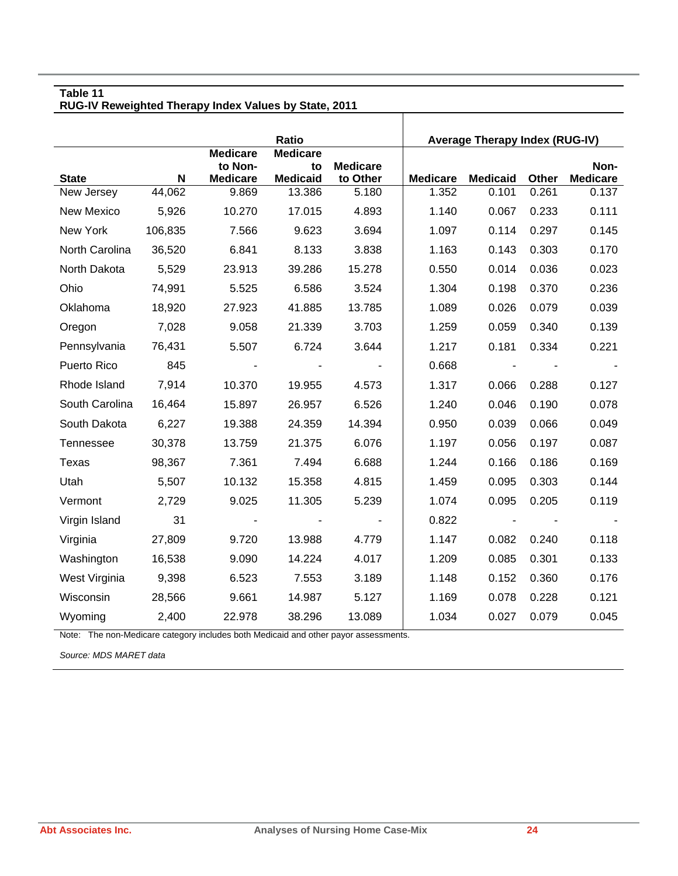**RUG-IV Reweighted Therapy Index Values by State, 2011** 

|                | Ratio   |                                               |                                          |                             | <b>Average Therapy Index (RUG-IV)</b> |                 |       |                         |
|----------------|---------|-----------------------------------------------|------------------------------------------|-----------------------------|---------------------------------------|-----------------|-------|-------------------------|
| <b>State</b>   | N       | <b>Medicare</b><br>to Non-<br><b>Medicare</b> | <b>Medicare</b><br>to<br><b>Medicaid</b> | <b>Medicare</b><br>to Other | <b>Medicare</b>                       | <b>Medicaid</b> | Other | Non-<br><b>Medicare</b> |
| New Jersey     | 44,062  | 9.869                                         | 13.386                                   | 5.180                       | 1.352                                 | 0.101           | 0.261 | 0.137                   |
| New Mexico     | 5,926   | 10.270                                        | 17.015                                   | 4.893                       | 1.140                                 | 0.067           | 0.233 | 0.111                   |
| New York       | 106,835 | 7.566                                         | 9.623                                    | 3.694                       | 1.097                                 | 0.114           | 0.297 | 0.145                   |
| North Carolina | 36,520  | 6.841                                         | 8.133                                    | 3.838                       | 1.163                                 | 0.143           | 0.303 | 0.170                   |
| North Dakota   | 5,529   | 23.913                                        | 39.286                                   | 15.278                      | 0.550                                 | 0.014           | 0.036 | 0.023                   |
| Ohio           | 74,991  | 5.525                                         | 6.586                                    | 3.524                       | 1.304                                 | 0.198           | 0.370 | 0.236                   |
| Oklahoma       | 18,920  | 27.923                                        | 41.885                                   | 13.785                      | 1.089                                 | 0.026           | 0.079 | 0.039                   |
| Oregon         | 7,028   | 9.058                                         | 21.339                                   | 3.703                       | 1.259                                 | 0.059           | 0.340 | 0.139                   |
| Pennsylvania   | 76,431  | 5.507                                         | 6.724                                    | 3.644                       | 1.217                                 | 0.181           | 0.334 | 0.221                   |
| Puerto Rico    | 845     |                                               |                                          |                             | 0.668                                 |                 |       |                         |
| Rhode Island   | 7,914   | 10.370                                        | 19.955                                   | 4.573                       | 1.317                                 | 0.066           | 0.288 | 0.127                   |
| South Carolina | 16,464  | 15.897                                        | 26.957                                   | 6.526                       | 1.240                                 | 0.046           | 0.190 | 0.078                   |
| South Dakota   | 6,227   | 19.388                                        | 24.359                                   | 14.394                      | 0.950                                 | 0.039           | 0.066 | 0.049                   |
| Tennessee      | 30,378  | 13.759                                        | 21.375                                   | 6.076                       | 1.197                                 | 0.056           | 0.197 | 0.087                   |
| Texas          | 98,367  | 7.361                                         | 7.494                                    | 6.688                       | 1.244                                 | 0.166           | 0.186 | 0.169                   |
| Utah           | 5,507   | 10.132                                        | 15.358                                   | 4.815                       | 1.459                                 | 0.095           | 0.303 | 0.144                   |
| Vermont        | 2,729   | 9.025                                         | 11.305                                   | 5.239                       | 1.074                                 | 0.095           | 0.205 | 0.119                   |
| Virgin Island  | 31      |                                               |                                          |                             | 0.822                                 |                 |       |                         |
| Virginia       | 27,809  | 9.720                                         | 13.988                                   | 4.779                       | 1.147                                 | 0.082           | 0.240 | 0.118                   |
| Washington     | 16,538  | 9.090                                         | 14.224                                   | 4.017                       | 1.209                                 | 0.085           | 0.301 | 0.133                   |
| West Virginia  | 9,398   | 6.523                                         | 7.553                                    | 3.189                       | 1.148                                 | 0.152           | 0.360 | 0.176                   |
| Wisconsin      | 28,566  | 9.661                                         | 14.987                                   | 5.127                       | 1.169                                 | 0.078           | 0.228 | 0.121                   |
| Wyoming        | 2,400   | 22.978                                        | 38.296                                   | 13.089                      | 1.034                                 | 0.027           | 0.079 | 0.045                   |

 $\mathbf{I}$ 

Note: The non-Medicare category includes both Medicaid and other payor assessments.

*Source: MDS MARET data*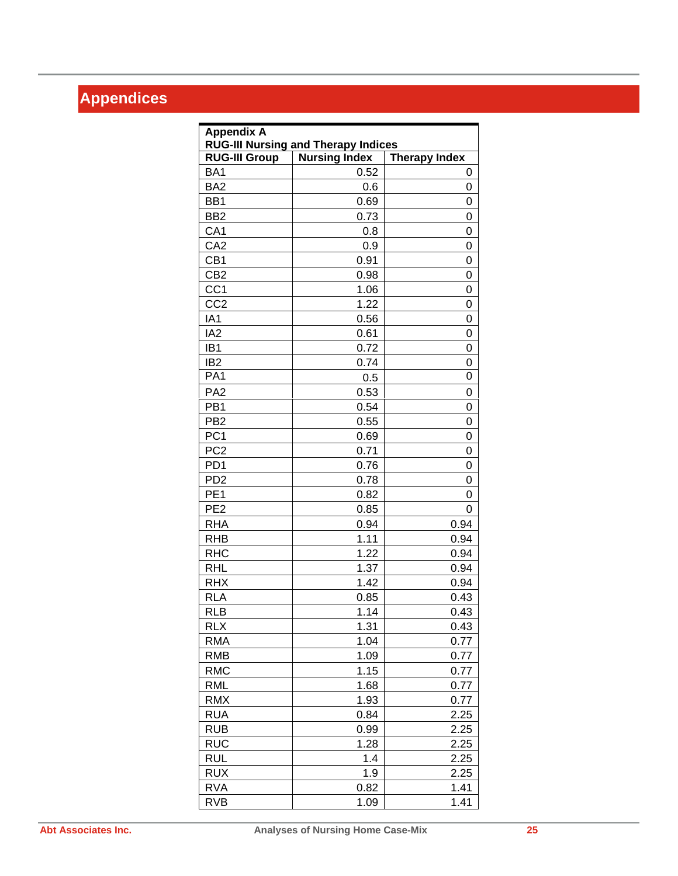## **Appendices**

| <b>Appendix A</b>    | <b>RUG-III Nursing and Therapy Indices</b> |                      |
|----------------------|--------------------------------------------|----------------------|
| <b>RUG-III Group</b> | <b>Nursing Index</b>                       | <b>Therapy Index</b> |
| BA1                  | 0.52                                       | 0                    |
| BA <sub>2</sub>      | 0.6                                        | 0                    |
| BB1                  | 0.69                                       | 0                    |
| BB <sub>2</sub>      | 0.73                                       | 0                    |
| CA <sub>1</sub>      | 0.8                                        | 0                    |
| CA <sub>2</sub>      | 0.9                                        | 0                    |
| CB <sub>1</sub>      | 0.91                                       | 0                    |
| CB <sub>2</sub>      | 0.98                                       | 0                    |
| CC <sub>1</sub>      | 1.06                                       | 0                    |
| CC <sub>2</sub>      | 1.22                                       | 0                    |
| IA1                  | 0.56                                       | 0                    |
| IA <sub>2</sub>      | 0.61                                       | 0                    |
| IB <sub>1</sub>      | 0.72                                       | 0                    |
| IB <sub>2</sub>      | 0.74                                       | 0                    |
| PA <sub>1</sub>      | 0.5                                        | 0                    |
| PA <sub>2</sub>      | 0.53                                       | 0                    |
| PB <sub>1</sub>      | 0.54                                       | 0                    |
| PB <sub>2</sub>      | 0.55                                       | 0                    |
| PC <sub>1</sub>      | 0.69                                       | 0                    |
| PC <sub>2</sub>      | 0.71                                       | 0                    |
| PD <sub>1</sub>      | 0.76                                       | 0                    |
| PD <sub>2</sub>      | 0.78                                       | 0                    |
| PE <sub>1</sub>      | 0.82                                       | 0                    |
| PE <sub>2</sub>      | 0.85                                       | 0                    |
| <b>RHA</b>           | 0.94                                       | 0.94                 |
| <b>RHB</b>           | 1.11                                       | 0.94                 |
| <b>RHC</b>           | 1.22                                       | 0.94                 |
| <b>RHL</b>           | 1.37                                       | 0.94                 |
| <b>RHX</b>           | 1.42                                       | 0.94                 |
| <b>RLA</b>           | 0.85                                       | 0.43                 |
| <b>RLB</b>           | 1.14                                       | 0.43                 |
| <b>RLX</b>           | 1.31                                       | 0.43                 |
| <b>RMA</b>           | 1.04                                       | 0.77                 |
| <b>RMB</b>           | 1.09                                       | 0.77                 |
| <b>RMC</b>           | 1.15                                       | 0.77                 |
| <b>RML</b>           | 1.68                                       | 0.77                 |
| <b>RMX</b>           | 1.93                                       | 0.77                 |
| <b>RUA</b>           | 0.84                                       | 2.25                 |
| <b>RUB</b>           | 0.99                                       | 2.25                 |
| <b>RUC</b>           | 1.28                                       | 2.25                 |
| <b>RUL</b>           | 1.4                                        | 2.25                 |
| <b>RUX</b>           | 1.9                                        | 2.25                 |
| <b>RVA</b>           | 0.82                                       | 1.41                 |
| <b>RVB</b>           | 1.09                                       | 1.41                 |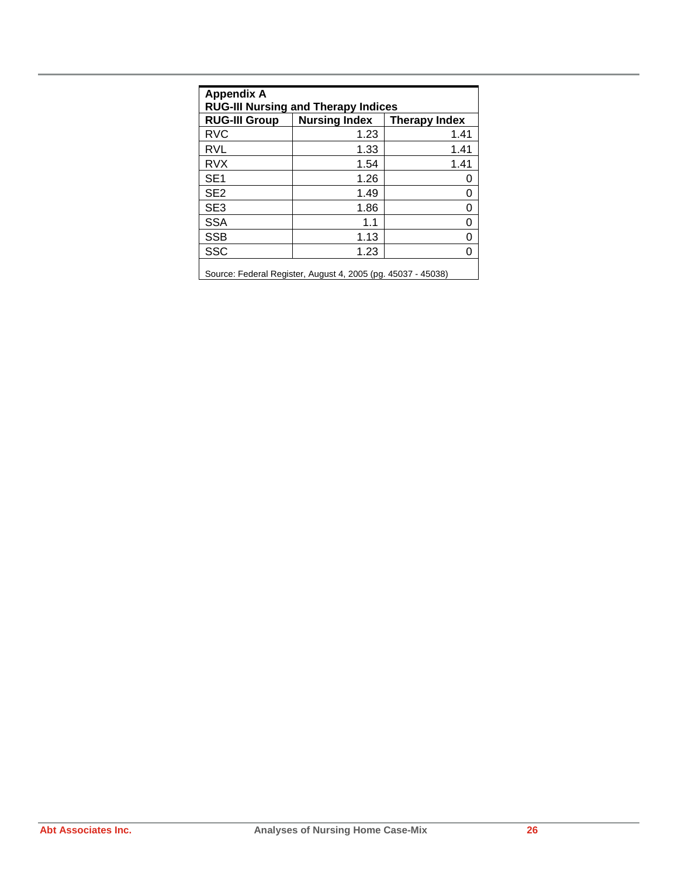| <b>Appendix A</b><br><b>RUG-III Nursing and Therapy Indices</b> |                                                              |                      |  |  |  |  |  |
|-----------------------------------------------------------------|--------------------------------------------------------------|----------------------|--|--|--|--|--|
| <b>RUG-III Group</b>                                            | <b>Nursing Index</b>                                         | <b>Therapy Index</b> |  |  |  |  |  |
| <b>RVC</b>                                                      | 1.23                                                         | 1.41                 |  |  |  |  |  |
| <b>RVL</b>                                                      | 1.33                                                         | 1.41                 |  |  |  |  |  |
| <b>RVX</b>                                                      | 1.54                                                         | 1.41                 |  |  |  |  |  |
| SE <sub>1</sub>                                                 | 1.26                                                         | O                    |  |  |  |  |  |
| SE <sub>2</sub>                                                 | 1.49                                                         | 0                    |  |  |  |  |  |
| SE <sub>3</sub>                                                 | 1.86                                                         | 0                    |  |  |  |  |  |
| <b>SSA</b>                                                      | 1.1                                                          | 0                    |  |  |  |  |  |
| <b>SSB</b>                                                      | 1.13                                                         | ი                    |  |  |  |  |  |
| <b>SSC</b>                                                      | 1.23                                                         | 0                    |  |  |  |  |  |
|                                                                 | Source: Federal Register, August 4, 2005 (pg. 45037 - 45038) |                      |  |  |  |  |  |

Source: Federal Register, August 4, 2005 (pg. 45037 - 45038)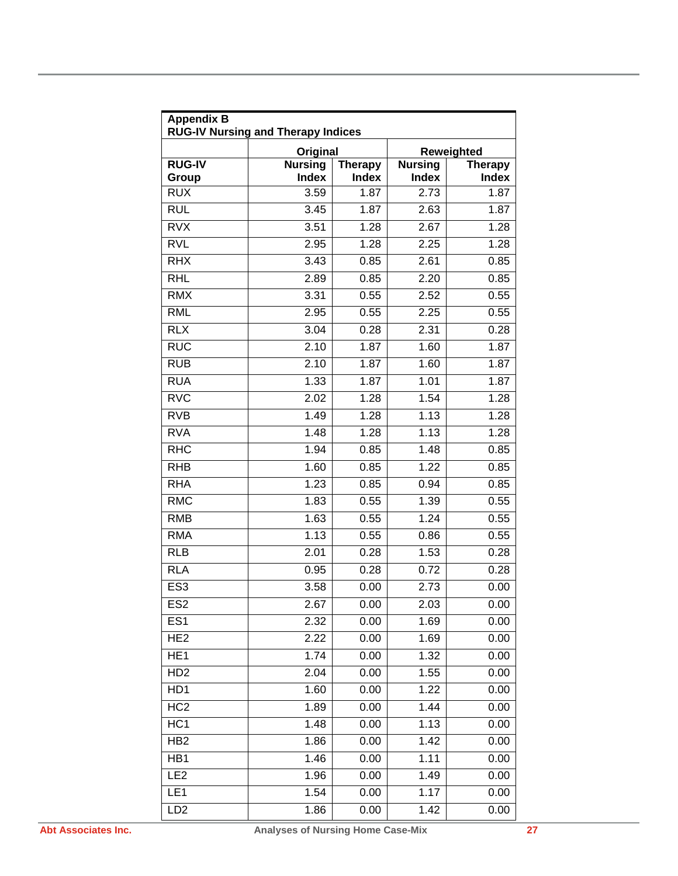| <b>Appendix B</b><br><b>RUG-IV Nursing and Therapy Indices</b> |                                |                                |                                |                                |  |  |  |
|----------------------------------------------------------------|--------------------------------|--------------------------------|--------------------------------|--------------------------------|--|--|--|
|                                                                | Original                       |                                |                                | Reweighted                     |  |  |  |
| <b>RUG-IV</b><br>Group                                         | <b>Nursing</b><br><b>Index</b> | <b>Therapy</b><br><b>Index</b> | <b>Nursing</b><br><b>Index</b> | <b>Therapy</b><br><b>Index</b> |  |  |  |
| <b>RUX</b>                                                     | 3.59                           | 1.87                           | 2.73                           | 1.87                           |  |  |  |
| <b>RUL</b>                                                     | 3.45                           | 1.87                           | 2.63                           | 1.87                           |  |  |  |
| <b>RVX</b>                                                     | 3.51                           | 1.28                           | 2.67                           | 1.28                           |  |  |  |
| <b>RVL</b>                                                     | 2.95                           | 1.28                           | 2.25                           | 1.28                           |  |  |  |
| <b>RHX</b>                                                     | 3.43                           | 0.85                           | 2.61                           | 0.85                           |  |  |  |
| <b>RHL</b>                                                     | 2.89                           | 0.85                           | 2.20                           | 0.85                           |  |  |  |
| <b>RMX</b>                                                     | 3.31                           | 0.55                           | 2.52                           | 0.55                           |  |  |  |
| <b>RML</b>                                                     | 2.95                           | 0.55                           | 2.25                           | 0.55                           |  |  |  |
| RIX                                                            | 3.04                           | 0.28                           | 2.31                           | 0.28                           |  |  |  |
| <b>RUC</b>                                                     | 2.10                           | 1.87                           | 1.60                           | 1.87                           |  |  |  |
| <b>RUB</b>                                                     | 2.10                           | 1.87                           | 1.60                           | 1.87                           |  |  |  |
| <b>RUA</b>                                                     | 1.33                           | 1.87                           | 1.01                           | 1.87                           |  |  |  |
| <b>RVC</b>                                                     | 2.02                           | 1.28                           | 1.54                           | 1.28                           |  |  |  |
| RVB                                                            | 1.49                           | 1.28                           | 1.13                           | 1.28                           |  |  |  |
| <b>RVA</b>                                                     | 1.48                           | 1.28                           | 1.13                           | 1.28                           |  |  |  |
| <b>RHC</b>                                                     | 1.94                           | 0.85                           | 1.48                           | 0.85                           |  |  |  |
| <b>RHB</b>                                                     | 1.60                           | 0.85                           | 1.22                           | 0.85                           |  |  |  |
| <b>RHA</b>                                                     | 1.23                           | 0.85                           | 0.94                           | 0.85                           |  |  |  |
| <b>RMC</b>                                                     | 1.83                           | 0.55                           | 1.39                           | 0.55                           |  |  |  |
| <b>RMB</b>                                                     | 1.63                           | 0.55                           | 1.24                           | 0.55                           |  |  |  |
| <b>RMA</b>                                                     | 1.13                           | 0.55                           | 0.86                           | 0.55                           |  |  |  |
| <b>RLB</b>                                                     | 2.01                           | 0.28                           | 1.53                           | 0.28                           |  |  |  |
| <b>RLA</b>                                                     | 0.95                           | 0.28                           | 0.72                           | 0.28                           |  |  |  |
| ES <sub>3</sub>                                                | 3.58                           | 0.00                           | 2.73                           | 0.00                           |  |  |  |
| ES <sub>2</sub>                                                | 2.67                           | 0.00                           | 2.03                           | 0.00                           |  |  |  |
| ES <sub>1</sub>                                                | 2.32                           | 0.00                           | 1.69                           | 0.00                           |  |  |  |
| HE <sub>2</sub>                                                | 2.22                           | 0.00                           | 1.69                           | 0.00                           |  |  |  |
| HE <sub>1</sub>                                                | 1.74                           | 0.00                           | 1.32                           | 0.00                           |  |  |  |
| H <sub>D</sub> 2                                               | 2.04                           | 0.00                           | 1.55                           | 0.00                           |  |  |  |
| HD1                                                            | 1.60                           | 0.00                           | 1.22                           | 0.00                           |  |  |  |
| HC <sub>2</sub>                                                | 1.89                           | 0.00                           | 1.44                           | 0.00                           |  |  |  |
| HC <sub>1</sub>                                                | 1.48                           | 0.00                           | 1.13                           | 0.00                           |  |  |  |
| HB <sub>2</sub>                                                | 1.86                           | 0.00                           | 1.42                           | 0.00                           |  |  |  |
| HB1                                                            | 1.46                           | 0.00                           | 1.11                           | 0.00                           |  |  |  |
| LE <sub>2</sub>                                                | 1.96                           | 0.00                           | 1.49                           | 0.00                           |  |  |  |
| LE <sub>1</sub>                                                | 1.54                           | 0.00                           | 1.17                           | 0.00                           |  |  |  |
| LD <sub>2</sub>                                                | 1.86                           | 0.00                           | 1.42                           | 0.00                           |  |  |  |